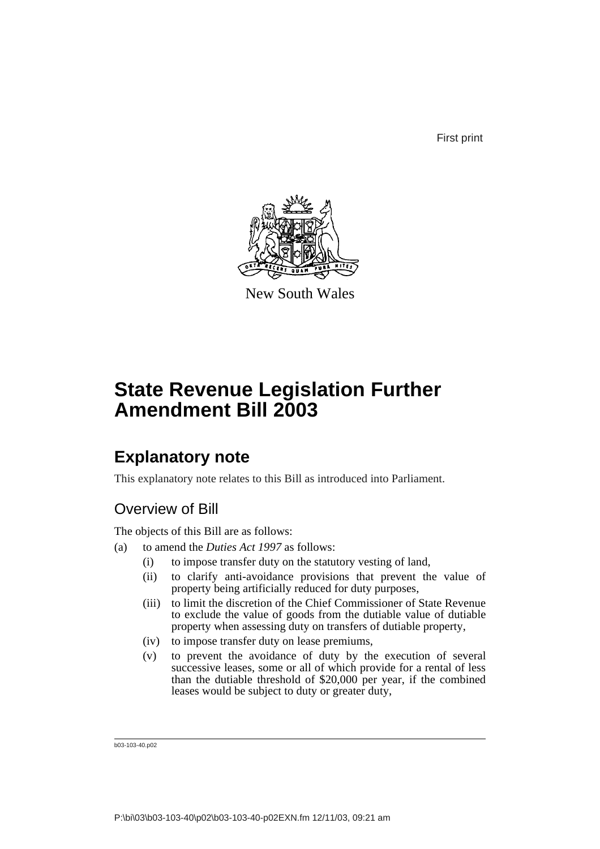First print



New South Wales

# **State Revenue Legislation Further Amendment Bill 2003**

# **Explanatory note**

This explanatory note relates to this Bill as introduced into Parliament.

# Overview of Bill

The objects of this Bill are as follows:

- (a) to amend the *Duties Act 1997* as follows:
	- (i) to impose transfer duty on the statutory vesting of land,
	- (ii) to clarify anti-avoidance provisions that prevent the value of property being artificially reduced for duty purposes,
	- (iii) to limit the discretion of the Chief Commissioner of State Revenue to exclude the value of goods from the dutiable value of dutiable property when assessing duty on transfers of dutiable property,
	- (iv) to impose transfer duty on lease premiums,
	- (v) to prevent the avoidance of duty by the execution of several successive leases, some or all of which provide for a rental of less than the dutiable threshold of \$20,000 per year, if the combined leases would be subject to duty or greater duty,

b03-103-40.p02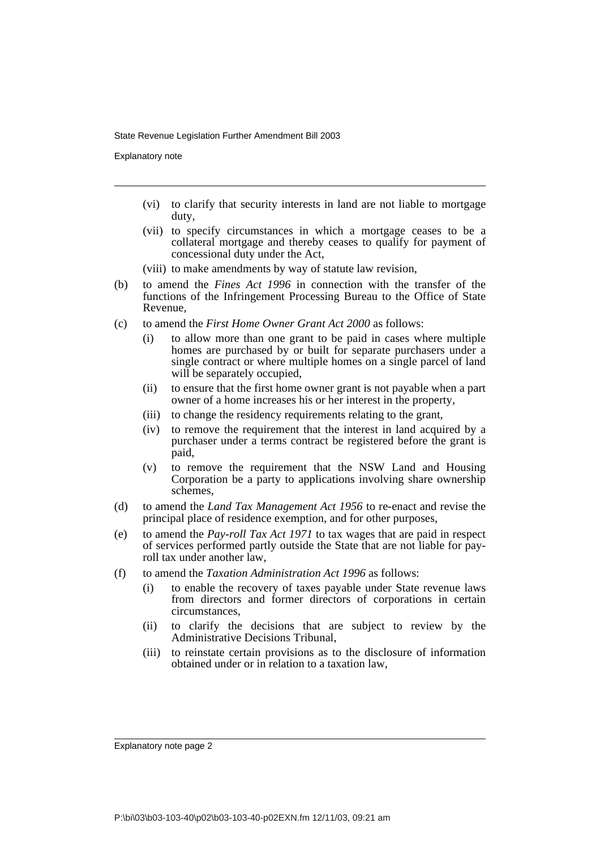Explanatory note

- (vi) to clarify that security interests in land are not liable to mortgage duty,
- (vii) to specify circumstances in which a mortgage ceases to be a collateral mortgage and thereby ceases to qualify for payment of concessional duty under the Act,
- (viii) to make amendments by way of statute law revision,
- (b) to amend the *Fines Act 1996* in connection with the transfer of the functions of the Infringement Processing Bureau to the Office of State Revenue,
- (c) to amend the *First Home Owner Grant Act 2000* as follows:
	- (i) to allow more than one grant to be paid in cases where multiple homes are purchased by or built for separate purchasers under a single contract or where multiple homes on a single parcel of land will be separately occupied,
	- (ii) to ensure that the first home owner grant is not payable when a part owner of a home increases his or her interest in the property,
	- (iii) to change the residency requirements relating to the grant,
	- (iv) to remove the requirement that the interest in land acquired by a purchaser under a terms contract be registered before the grant is paid,
	- (v) to remove the requirement that the NSW Land and Housing Corporation be a party to applications involving share ownership schemes,
- (d) to amend the *Land Tax Management Act 1956* to re-enact and revise the principal place of residence exemption, and for other purposes,
- (e) to amend the *Pay-roll Tax Act 1971* to tax wages that are paid in respect of services performed partly outside the State that are not liable for payroll tax under another law,
- (f) to amend the *Taxation Administration Act 1996* as follows:
	- (i) to enable the recovery of taxes payable under State revenue laws from directors and former directors of corporations in certain circumstances,
	- (ii) to clarify the decisions that are subject to review by the Administrative Decisions Tribunal,
	- (iii) to reinstate certain provisions as to the disclosure of information obtained under or in relation to a taxation law,

Explanatory note page 2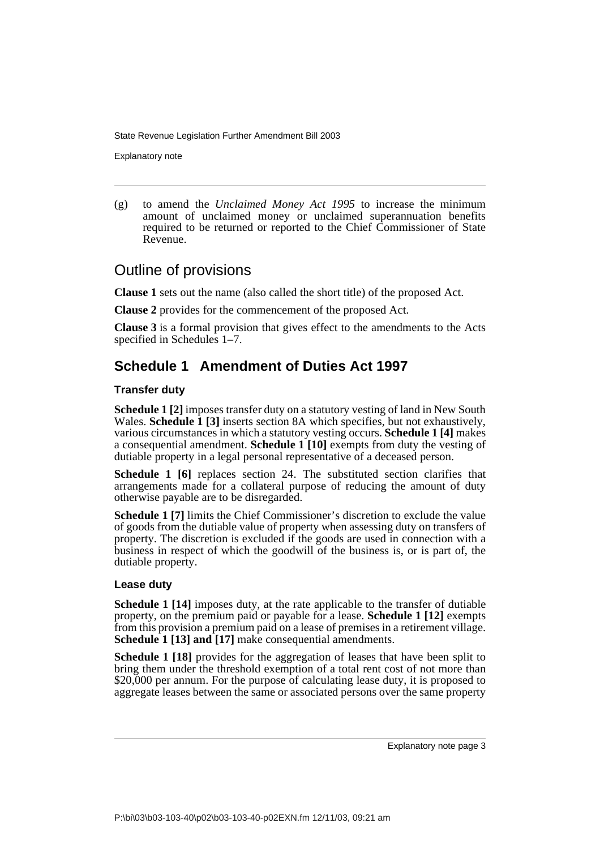Explanatory note

(g) to amend the *Unclaimed Money Act 1995* to increase the minimum amount of unclaimed money or unclaimed superannuation benefits required to be returned or reported to the Chief Commissioner of State Revenue.

# Outline of provisions

**Clause 1** sets out the name (also called the short title) of the proposed Act.

**Clause 2** provides for the commencement of the proposed Act.

**Clause 3** is a formal provision that gives effect to the amendments to the Acts specified in Schedules 1–7.

# **Schedule 1 Amendment of Duties Act 1997**

### **Transfer duty**

**Schedule 1 [2]** imposes transfer duty on a statutory vesting of land in New South Wales. **Schedule 1 [3]** inserts section 8A which specifies, but not exhaustively, various circumstances in which a statutory vesting occurs. **Schedule 1 [4]** makes a consequential amendment. **Schedule 1 [10]** exempts from duty the vesting of dutiable property in a legal personal representative of a deceased person.

**Schedule 1 [6]** replaces section 24. The substituted section clarifies that arrangements made for a collateral purpose of reducing the amount of duty otherwise payable are to be disregarded.

**Schedule 1 [7]** limits the Chief Commissioner's discretion to exclude the value of goods from the dutiable value of property when assessing duty on transfers of property. The discretion is excluded if the goods are used in connection with a business in respect of which the goodwill of the business is, or is part of, the dutiable property.

#### **Lease duty**

**Schedule 1 [14]** imposes duty, at the rate applicable to the transfer of dutiable property, on the premium paid or payable for a lease. **Schedule 1 [12]** exempts from this provision a premium paid on a lease of premises in a retirement village. **Schedule 1 [13] and [17]** make consequential amendments.

**Schedule 1 [18]** provides for the aggregation of leases that have been split to bring them under the threshold exemption of a total rent cost of not more than \$20,000 per annum. For the purpose of calculating lease duty, it is proposed to aggregate leases between the same or associated persons over the same property

Explanatory note page 3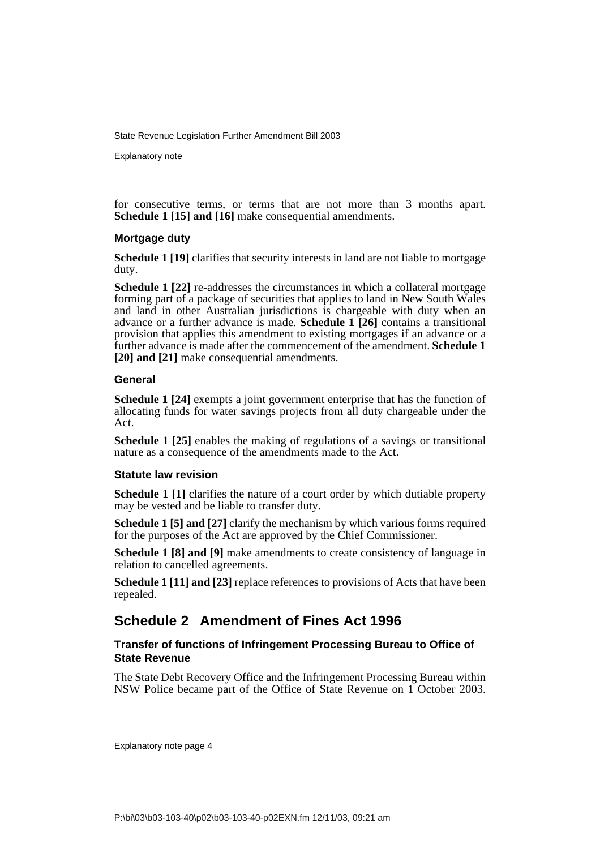Explanatory note

for consecutive terms, or terms that are not more than 3 months apart. **Schedule 1 [15] and [16]** make consequential amendments.

#### **Mortgage duty**

**Schedule 1 [19]** clarifies that security interests in land are not liable to mortgage duty.

**Schedule 1 [22]** re-addresses the circumstances in which a collateral mortgage forming part of a package of securities that applies to land in New South Wales and land in other Australian jurisdictions is chargeable with duty when an advance or a further advance is made. **Schedule 1 [26]** contains a transitional provision that applies this amendment to existing mortgages if an advance or a further advance is made after the commencement of the amendment. **Schedule 1 [20] and [21]** make consequential amendments.

#### **General**

**Schedule 1 [24]** exempts a joint government enterprise that has the function of allocating funds for water savings projects from all duty chargeable under the Act.

**Schedule 1 [25]** enables the making of regulations of a savings or transitional nature as a consequence of the amendments made to the Act.

#### **Statute law revision**

**Schedule 1 [1]** clarifies the nature of a court order by which dutiable property may be vested and be liable to transfer duty.

**Schedule 1 [5] and [27]** clarify the mechanism by which various forms required for the purposes of the Act are approved by the Chief Commissioner.

**Schedule 1 [8] and [9]** make amendments to create consistency of language in relation to cancelled agreements.

**Schedule 1 [11] and [23]** replace references to provisions of Acts that have been repealed.

## **Schedule 2 Amendment of Fines Act 1996**

#### **Transfer of functions of Infringement Processing Bureau to Office of State Revenue**

The State Debt Recovery Office and the Infringement Processing Bureau within NSW Police became part of the Office of State Revenue on 1 October 2003.

Explanatory note page 4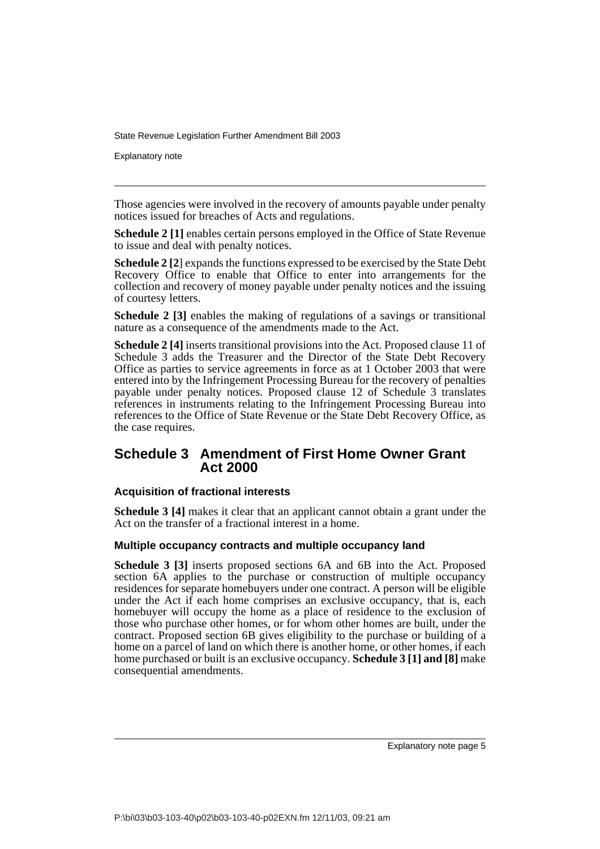Explanatory note

Those agencies were involved in the recovery of amounts payable under penalty notices issued for breaches of Acts and regulations.

**Schedule 2** [1] enables certain persons employed in the Office of State Revenue to issue and deal with penalty notices.

**Schedule 2 [2**] expands the functions expressed to be exercised by the State Debt Recovery Office to enable that Office to enter into arrangements for the collection and recovery of money payable under penalty notices and the issuing of courtesy letters.

**Schedule 2 [3]** enables the making of regulations of a savings or transitional nature as a consequence of the amendments made to the Act.

**Schedule 2 [4]** inserts transitional provisions into the Act. Proposed clause 11 of Schedule 3 adds the Treasurer and the Director of the State Debt Recovery Office as parties to service agreements in force as at 1 October 2003 that were entered into by the Infringement Processing Bureau for the recovery of penalties payable under penalty notices. Proposed clause 12 of Schedule 3 translates references in instruments relating to the Infringement Processing Bureau into references to the Office of State Revenue or the State Debt Recovery Office, as the case requires.

### **Schedule 3 Amendment of First Home Owner Grant Act 2000**

#### **Acquisition of fractional interests**

**Schedule 3 [4]** makes it clear that an applicant cannot obtain a grant under the Act on the transfer of a fractional interest in a home.

#### **Multiple occupancy contracts and multiple occupancy land**

**Schedule 3 [3]** inserts proposed sections 6A and 6B into the Act. Proposed section 6A applies to the purchase or construction of multiple occupancy residences for separate homebuyers under one contract. A person will be eligible under the Act if each home comprises an exclusive occupancy, that is, each homebuyer will occupy the home as a place of residence to the exclusion of those who purchase other homes, or for whom other homes are built, under the contract. Proposed section 6B gives eligibility to the purchase or building of a home on a parcel of land on which there is another home, or other homes, if each home purchased or built is an exclusive occupancy. **Schedule 3 [1] and [8]** make consequential amendments.

Explanatory note page 5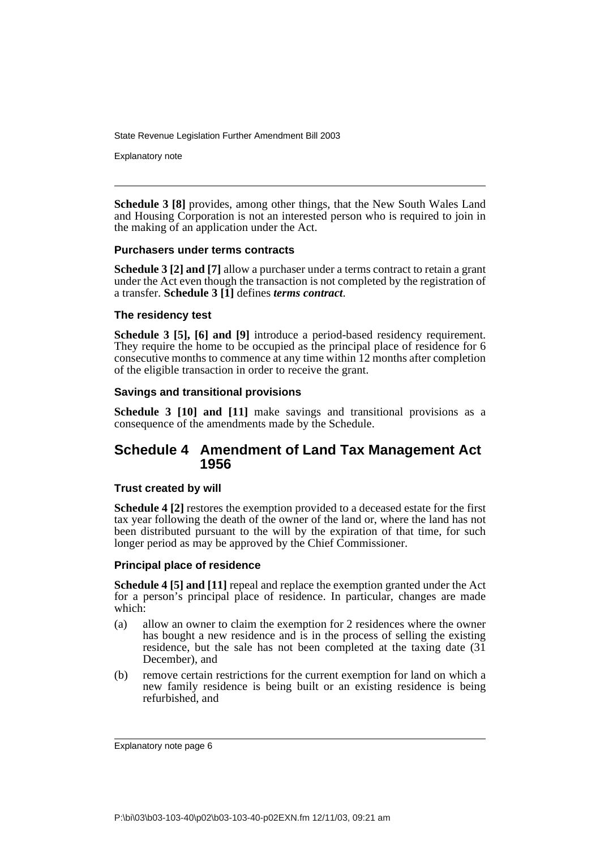Explanatory note

**Schedule 3 [8]** provides, among other things, that the New South Wales Land and Housing Corporation is not an interested person who is required to join in the making of an application under the Act.

#### **Purchasers under terms contracts**

**Schedule 3 [2] and [7]** allow a purchaser under a terms contract to retain a grant under the Act even though the transaction is not completed by the registration of a transfer. **Schedule 3 [1]** defines *terms contract*.

#### **The residency test**

**Schedule 3 [5], [6] and [9]** introduce a period-based residency requirement. They require the home to be occupied as the principal place of residence for 6 consecutive months to commence at any time within 12 months after completion of the eligible transaction in order to receive the grant.

#### **Savings and transitional provisions**

**Schedule 3 [10] and [11]** make savings and transitional provisions as a consequence of the amendments made by the Schedule.

### **Schedule 4 Amendment of Land Tax Management Act 1956**

#### **Trust created by will**

**Schedule 4 [2]** restores the exemption provided to a deceased estate for the first tax year following the death of the owner of the land or, where the land has not been distributed pursuant to the will by the expiration of that time, for such longer period as may be approved by the Chief Commissioner.

#### **Principal place of residence**

**Schedule 4 [5] and [11]** repeal and replace the exemption granted under the Act for a person's principal place of residence. In particular, changes are made which:

- (a) allow an owner to claim the exemption for 2 residences where the owner has bought a new residence and is in the process of selling the existing residence, but the sale has not been completed at the taxing date (31 December), and
- (b) remove certain restrictions for the current exemption for land on which a new family residence is being built or an existing residence is being refurbished, and

Explanatory note page 6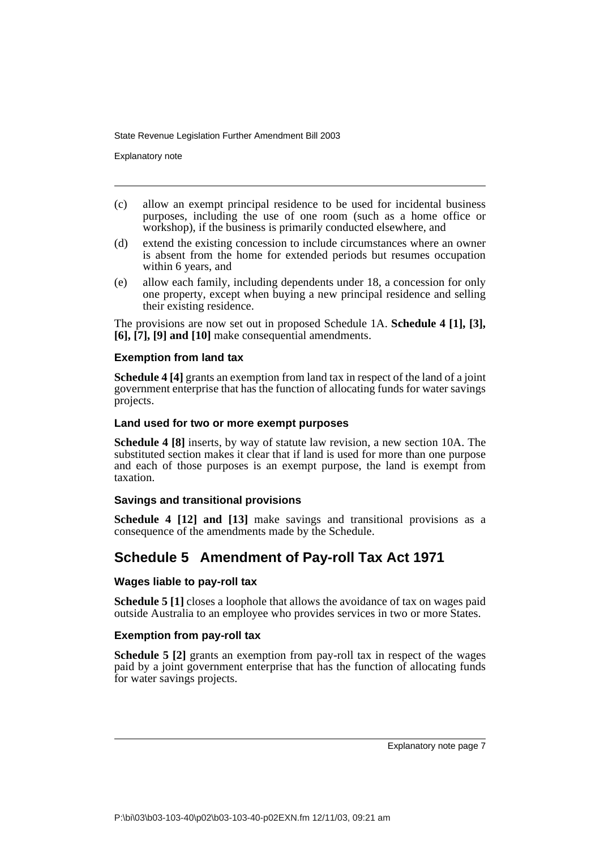Explanatory note

- (c) allow an exempt principal residence to be used for incidental business purposes, including the use of one room (such as a home office or workshop), if the business is primarily conducted elsewhere, and
- (d) extend the existing concession to include circumstances where an owner is absent from the home for extended periods but resumes occupation within 6 years, and
- (e) allow each family, including dependents under 18, a concession for only one property, except when buying a new principal residence and selling their existing residence.

The provisions are now set out in proposed Schedule 1A. **Schedule 4 [1], [3], [6], [7], [9] and [10]** make consequential amendments.

#### **Exemption from land tax**

**Schedule 4 [4]** grants an exemption from land tax in respect of the land of a joint government enterprise that has the function of allocating funds for water savings projects.

#### **Land used for two or more exempt purposes**

**Schedule 4 [8]** inserts, by way of statute law revision, a new section 10A. The substituted section makes it clear that if land is used for more than one purpose and each of those purposes is an exempt purpose, the land is exempt from taxation.

### **Savings and transitional provisions**

**Schedule 4 [12] and [13]** make savings and transitional provisions as a consequence of the amendments made by the Schedule.

# **Schedule 5 Amendment of Pay-roll Tax Act 1971**

#### **Wages liable to pay-roll tax**

**Schedule 5 [1]** closes a loophole that allows the avoidance of tax on wages paid outside Australia to an employee who provides services in two or more States.

#### **Exemption from pay-roll tax**

**Schedule 5 [2]** grants an exemption from pay-roll tax in respect of the wages paid by a joint government enterprise that has the function of allocating funds for water savings projects.

Explanatory note page 7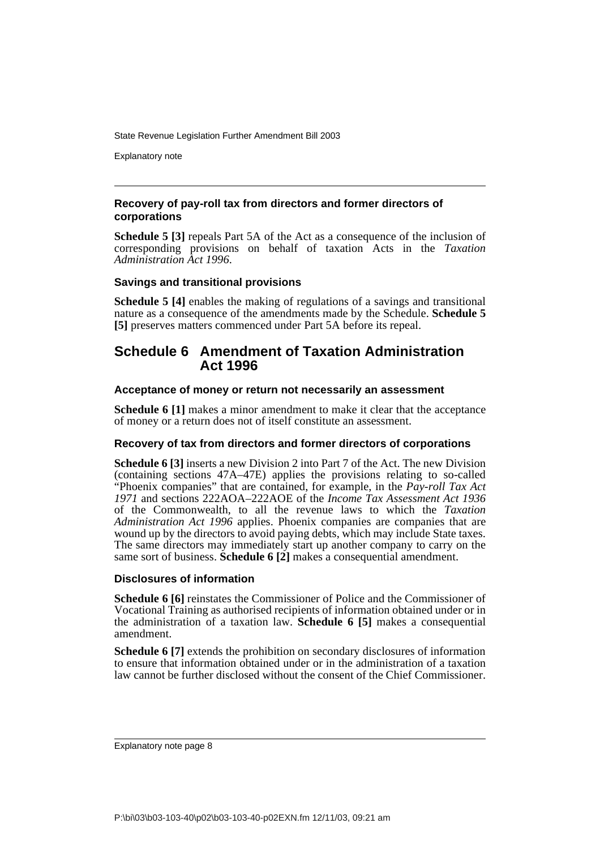Explanatory note

#### **Recovery of pay-roll tax from directors and former directors of corporations**

**Schedule 5 [3]** repeals Part 5A of the Act as a consequence of the inclusion of corresponding provisions on behalf of taxation Acts in the *Taxation Administration Act 1996*.

#### **Savings and transitional provisions**

**Schedule 5 [4]** enables the making of regulations of a savings and transitional nature as a consequence of the amendments made by the Schedule. **Schedule 5** [5] preserves matters commenced under Part 5A before its repeal.

### **Schedule 6 Amendment of Taxation Administration Act 1996**

#### **Acceptance of money or return not necessarily an assessment**

**Schedule 6** [1] makes a minor amendment to make it clear that the acceptance of money or a return does not of itself constitute an assessment.

#### **Recovery of tax from directors and former directors of corporations**

**Schedule 6 [3]** inserts a new Division 2 into Part 7 of the Act. The new Division (containing sections 47A–47E) applies the provisions relating to so-called "Phoenix companies" that are contained, for example, in the *Pay-roll Tax Act 1971* and sections 222AOA–222AOE of the *Income Tax Assessment Act 1936* of the Commonwealth, to all the revenue laws to which the *Taxation Administration Act 1996* applies. Phoenix companies are companies that are wound up by the directors to avoid paying debts, which may include State taxes. The same directors may immediately start up another company to carry on the same sort of business. **Schedule 6 [2]** makes a consequential amendment.

#### **Disclosures of information**

**Schedule 6 [6]** reinstates the Commissioner of Police and the Commissioner of Vocational Training as authorised recipients of information obtained under or in the administration of a taxation law. **Schedule 6 [5]** makes a consequential amendment.

**Schedule 6 [7]** extends the prohibition on secondary disclosures of information to ensure that information obtained under or in the administration of a taxation law cannot be further disclosed without the consent of the Chief Commissioner.

Explanatory note page 8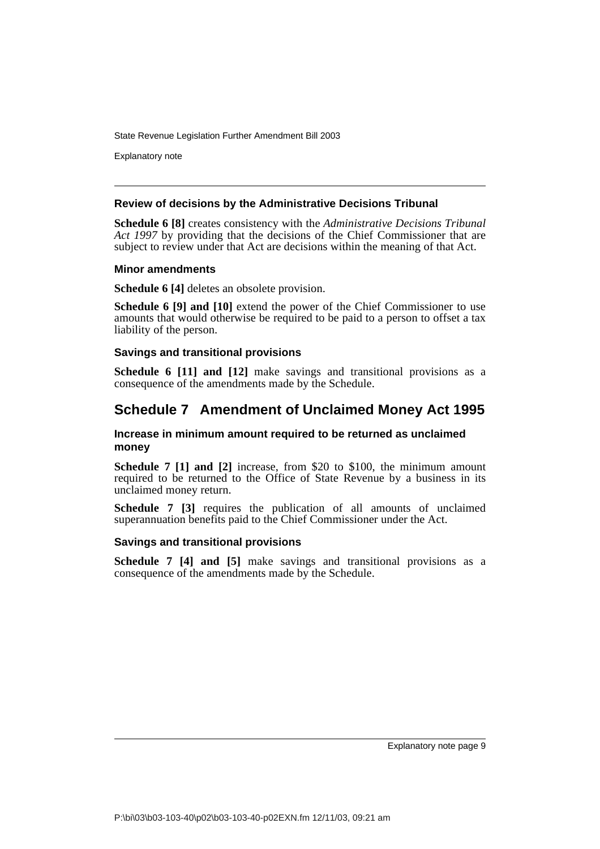Explanatory note

#### **Review of decisions by the Administrative Decisions Tribunal**

**Schedule 6 [8]** creates consistency with the *Administrative Decisions Tribunal Act 1997* by providing that the decisions of the Chief Commissioner that are subject to review under that Act are decisions within the meaning of that Act.

#### **Minor amendments**

**Schedule 6 [4]** deletes an obsolete provision.

**Schedule 6 [9] and [10]** extend the power of the Chief Commissioner to use amounts that would otherwise be required to be paid to a person to offset a tax liability of the person.

#### **Savings and transitional provisions**

**Schedule 6 [11] and [12]** make savings and transitional provisions as a consequence of the amendments made by the Schedule.

# **Schedule 7 Amendment of Unclaimed Money Act 1995**

#### **Increase in minimum amount required to be returned as unclaimed money**

**Schedule 7 [1] and [2]** increase, from \$20 to \$100, the minimum amount required to be returned to the Office of State Revenue by a business in its unclaimed money return.

**Schedule 7 [3]** requires the publication of all amounts of unclaimed superannuation benefits paid to the Chief Commissioner under the Act.

#### **Savings and transitional provisions**

**Schedule 7 [4] and [5]** make savings and transitional provisions as a consequence of the amendments made by the Schedule.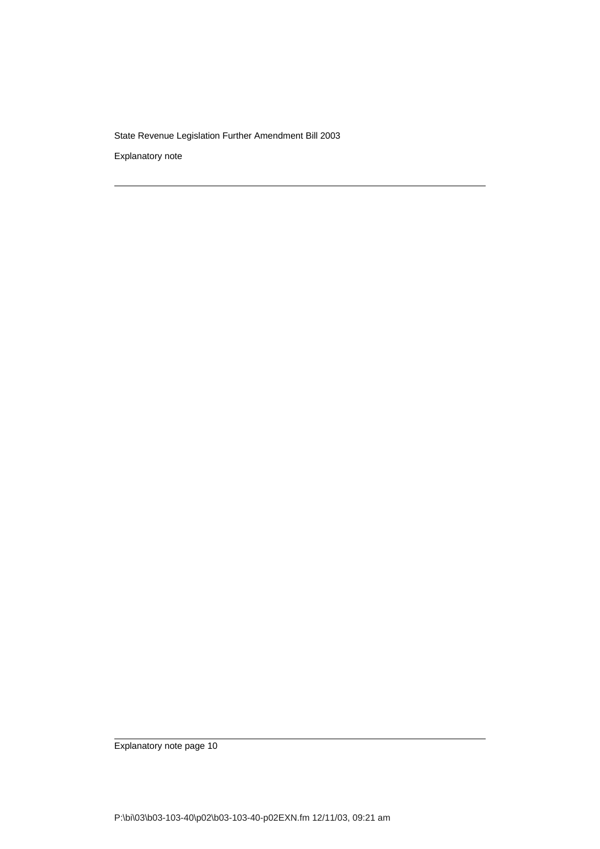Explanatory note

Explanatory note page 10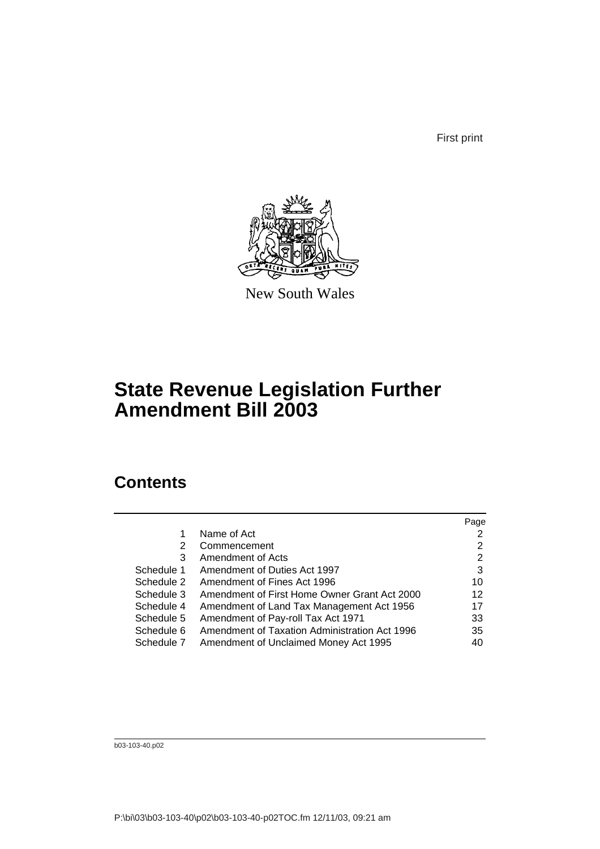First print



New South Wales

# **State Revenue Legislation Further Amendment Bill 2003**

# **Contents**

|            |                                               | Page |
|------------|-----------------------------------------------|------|
| 1          | Name of Act                                   | 2    |
| 2          | Commencement                                  | 2    |
| 3          | Amendment of Acts                             | 2    |
| Schedule 1 | Amendment of Duties Act 1997                  | 3    |
| Schedule 2 | Amendment of Fines Act 1996                   | 10   |
| Schedule 3 | Amendment of First Home Owner Grant Act 2000  | 12   |
| Schedule 4 | Amendment of Land Tax Management Act 1956     | 17   |
| Schedule 5 | Amendment of Pay-roll Tax Act 1971            | 33   |
| Schedule 6 | Amendment of Taxation Administration Act 1996 | 35   |
| Schedule 7 | Amendment of Unclaimed Money Act 1995         | 40   |

b03-103-40.p02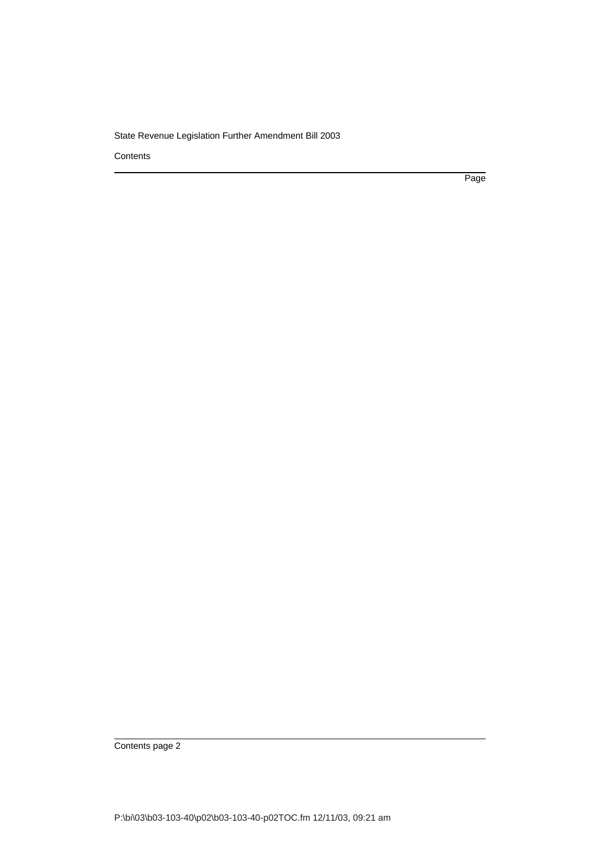**Contents** 

Page

Contents page 2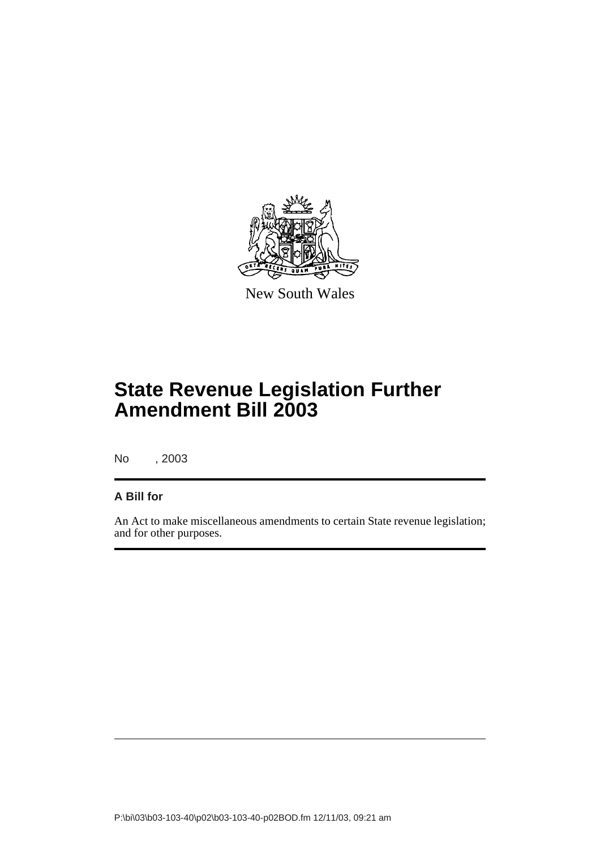

New South Wales

# **State Revenue Legislation Further Amendment Bill 2003**

No , 2003

### **A Bill for**

An Act to make miscellaneous amendments to certain State revenue legislation; and for other purposes.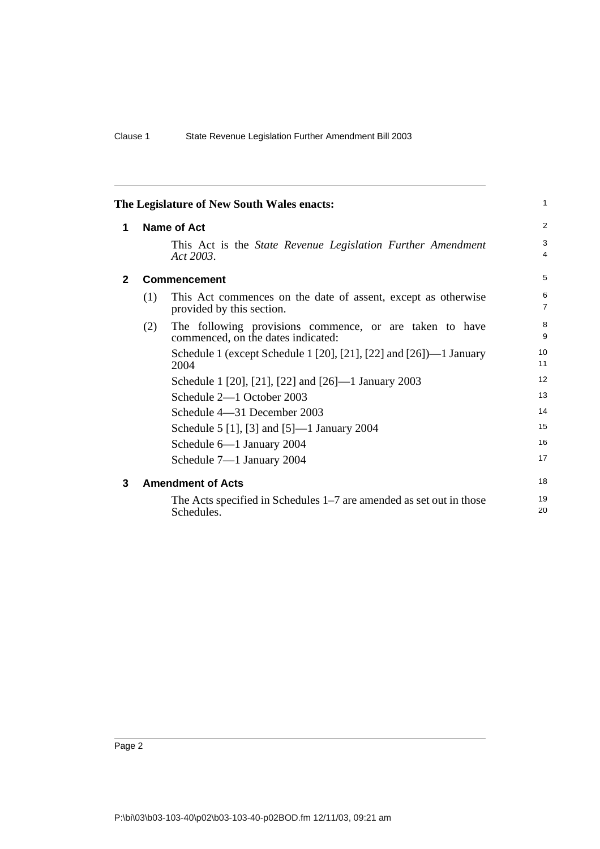<span id="page-13-2"></span><span id="page-13-1"></span><span id="page-13-0"></span>

| The Legislature of New South Wales enacts: |     |                                                                                               |                     |  |  |
|--------------------------------------------|-----|-----------------------------------------------------------------------------------------------|---------------------|--|--|
| 1                                          |     | Name of Act                                                                                   | 2                   |  |  |
|                                            |     | This Act is the <i>State Revenue Legislation Further Amendment</i><br>Act 2003.               | 3<br>$\overline{4}$ |  |  |
| $\mathbf{2}$                               |     | <b>Commencement</b>                                                                           | 5                   |  |  |
|                                            | (1) | This Act commences on the date of assent, except as otherwise<br>provided by this section.    | 6<br>$\overline{7}$ |  |  |
|                                            | (2) | The following provisions commence, or are taken to have<br>commenced, on the dates indicated: | 8<br>9              |  |  |
|                                            |     | Schedule 1 (except Schedule 1 [20], [21], [22] and $[26]$ —1 January<br>2004                  | 10<br>11            |  |  |
|                                            |     | Schedule 1 [20], [21], [22] and [26]—1 January 2003                                           | 12                  |  |  |
|                                            |     | Schedule 2-1 October 2003                                                                     | 13                  |  |  |
|                                            |     | Schedule 4-31 December 2003                                                                   | 14                  |  |  |
|                                            |     | Schedule 5 [1], [3] and [5]—1 January 2004                                                    | 15                  |  |  |
|                                            |     | Schedule 6-1 January 2004                                                                     | 16                  |  |  |
|                                            |     | Schedule 7-1 January 2004                                                                     | 17                  |  |  |
| 3                                          |     | <b>Amendment of Acts</b>                                                                      | 18                  |  |  |
|                                            |     | The Acts specified in Schedules $1-7$ are amended as set out in those<br>Schedules.           | 19<br>20            |  |  |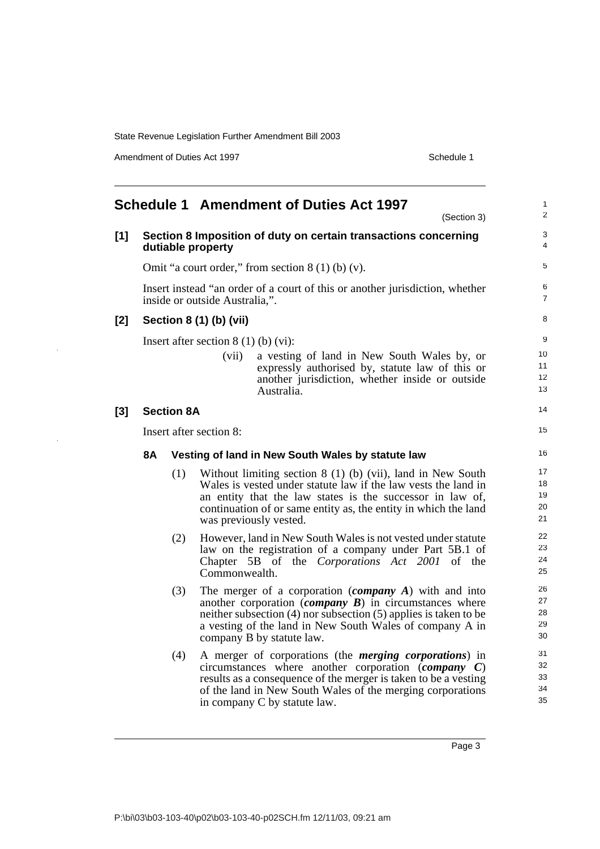Amendment of Duties Act 1997 Schedule 1

<span id="page-14-0"></span>

|     |    |                   |                                      | <b>Schedule 1 Amendment of Duties Act 1997</b><br>(Section 3)                                                                                                                                                                                                                                                    | 1<br>$\overline{\mathbf{c}}$ |
|-----|----|-------------------|--------------------------------------|------------------------------------------------------------------------------------------------------------------------------------------------------------------------------------------------------------------------------------------------------------------------------------------------------------------|------------------------------|
| [1] |    |                   | dutiable property                    | Section 8 Imposition of duty on certain transactions concerning                                                                                                                                                                                                                                                  | 3<br>4                       |
|     |    |                   |                                      | Omit "a court order," from section $8(1)(b)(v)$ .                                                                                                                                                                                                                                                                | 5                            |
|     |    |                   | inside or outside Australia,".       | Insert instead "an order of a court of this or another jurisdiction, whether                                                                                                                                                                                                                                     | 6<br>7                       |
| [2] |    |                   | Section 8 (1) (b) (vii)              |                                                                                                                                                                                                                                                                                                                  | 8                            |
|     |    |                   | Insert after section $8(1)(b)(vi)$ : |                                                                                                                                                                                                                                                                                                                  | 9                            |
|     |    |                   | (vii)                                | a vesting of land in New South Wales by, or<br>expressly authorised by, statute law of this or<br>another jurisdiction, whether inside or outside<br>Australia.                                                                                                                                                  | 10<br>11<br>12<br>13         |
| [3] |    | <b>Section 8A</b> |                                      |                                                                                                                                                                                                                                                                                                                  | 14                           |
|     |    |                   | Insert after section 8:              |                                                                                                                                                                                                                                                                                                                  | 15                           |
|     | 8Α |                   |                                      | Vesting of land in New South Wales by statute law                                                                                                                                                                                                                                                                | 16                           |
|     |    | (1)               | was previously vested.               | Without limiting section $8(1)(b)(vii)$ , land in New South<br>Wales is vested under statute law if the law vests the land in<br>an entity that the law states is the successor in law of,<br>continuation of or same entity as, the entity in which the land                                                    | 17<br>18<br>19<br>20<br>21   |
|     |    | (2)               | Commonwealth.                        | However, land in New South Wales is not vested under statute<br>law on the registration of a company under Part 5B.1 of<br>Chapter 5B of the Corporations Act 2001 of the                                                                                                                                        | 22<br>23<br>24<br>25         |
|     |    | (3)               |                                      | The merger of a corporation $\mathsf{(company\ }A\mathsf{)}\$ with and into<br>another corporation $\overline{(company B)}$ in circumstances where<br>neither subsection (4) nor subsection (5) applies is taken to be<br>a vesting of the land in New South Wales of company A in<br>company B by statute law.  | 26<br>27<br>28<br>29<br>30   |
|     |    | (4)               |                                      | A merger of corporations (the <i>merging corporations</i> ) in<br>circumstances where another corporation $\mathcal{L}$ company $\mathcal{C}$ )<br>results as a consequence of the merger is taken to be a vesting<br>of the land in New South Wales of the merging corporations<br>in company C by statute law. | 31<br>32<br>33<br>34<br>35   |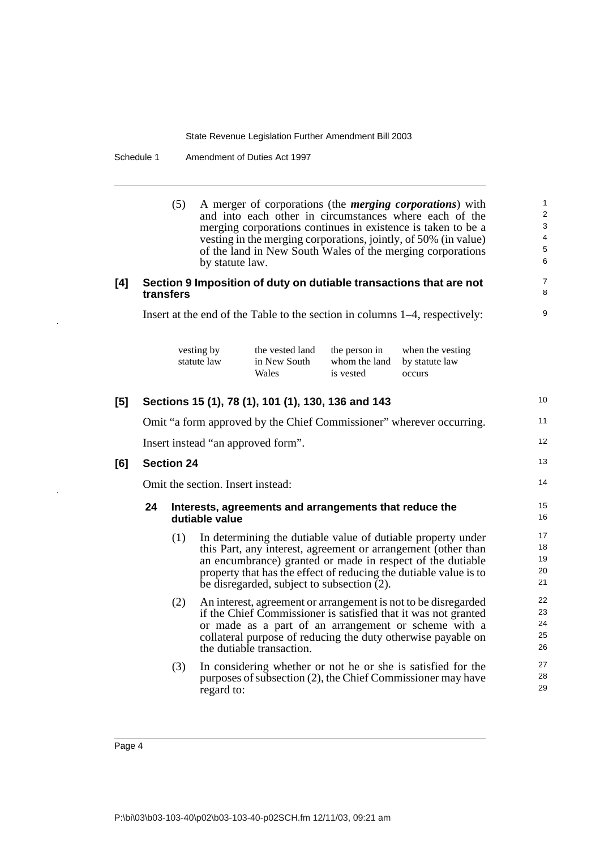Schedule 1 Amendment of Duties Act 1997

(5) A merger of corporations (the *merging corporations*) with and into each other in circumstances where each of the merging corporations continues in existence is taken to be a vesting in the merging corporations, jointly, of 50% (in value) of the land in New South Wales of the merging corporations by statute law.

9

#### **[4] Section 9 Imposition of duty on dutiable transactions that are not transfers**

Insert at the end of the Table to the section in columns 1–4, respectively:

|     |    |                   | vesting by<br>statute law | the vested land<br>in New South<br>Wales               | the person in<br>whom the land<br>is vested | when the vesting<br>by statute law<br>occurs                                                                                                                                                                                                                     |                            |
|-----|----|-------------------|---------------------------|--------------------------------------------------------|---------------------------------------------|------------------------------------------------------------------------------------------------------------------------------------------------------------------------------------------------------------------------------------------------------------------|----------------------------|
| [5] |    |                   |                           | Sections 15 (1), 78 (1), 101 (1), 130, 136 and 143     |                                             |                                                                                                                                                                                                                                                                  | 10                         |
|     |    |                   |                           |                                                        |                                             | Omit "a form approved by the Chief Commissioner" wherever occurring.                                                                                                                                                                                             | 11                         |
|     |    |                   |                           | Insert instead "an approved form".                     |                                             |                                                                                                                                                                                                                                                                  | 12                         |
| [6] |    | <b>Section 24</b> |                           |                                                        |                                             |                                                                                                                                                                                                                                                                  | 13                         |
|     |    |                   |                           | Omit the section. Insert instead:                      |                                             |                                                                                                                                                                                                                                                                  | 14                         |
|     | 24 |                   | dutiable value            | Interests, agreements and arrangements that reduce the |                                             |                                                                                                                                                                                                                                                                  | 15<br>16                   |
|     |    | (1)               |                           | be disregarded, subject to subsection (2).             |                                             | In determining the dutiable value of dutiable property under<br>this Part, any interest, agreement or arrangement (other than<br>an encumbrance) granted or made in respect of the dutiable<br>property that has the effect of reducing the dutiable value is to | 17<br>18<br>19<br>20<br>21 |
|     |    | (2)               |                           | the dutiable transaction.                              |                                             | An interest, agreement or arrangement is not to be disregarded<br>if the Chief Commissioner is satisfied that it was not granted<br>or made as a part of an arrangement or scheme with a<br>collateral purpose of reducing the duty otherwise payable on         | 22<br>23<br>24<br>25<br>26 |
|     |    | (3)               | regard to:                |                                                        |                                             | In considering whether or not he or she is satisfied for the<br>purposes of subsection (2), the Chief Commissioner may have                                                                                                                                      | 27<br>28<br>29             |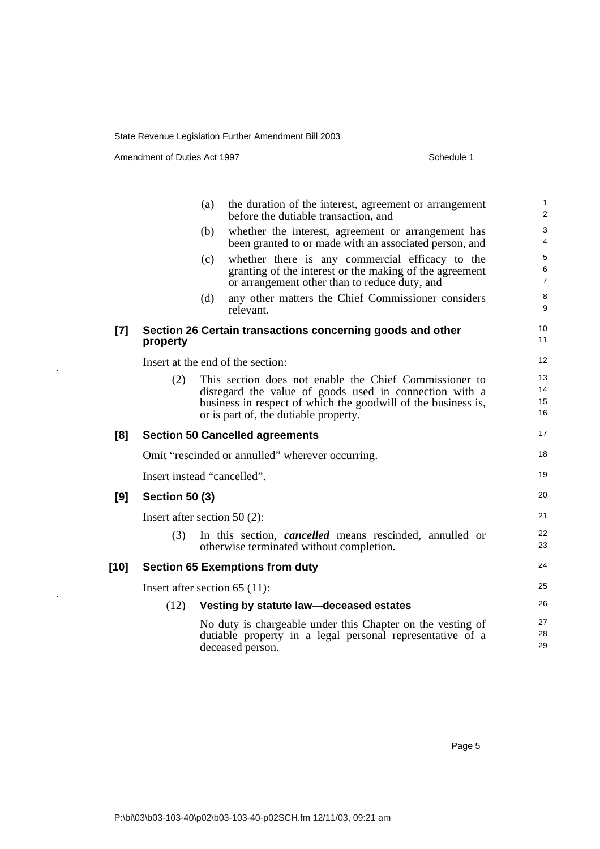Amendment of Duties Act 1997 Schedule 1

 $\bar{z}$ 

|       |                       | (a)<br>the duration of the interest, agreement or arrangement<br>before the dutiable transaction, and                                                                                                                      | 1<br>$\overline{c}$      |
|-------|-----------------------|----------------------------------------------------------------------------------------------------------------------------------------------------------------------------------------------------------------------------|--------------------------|
|       |                       | (b)<br>whether the interest, agreement or arrangement has<br>been granted to or made with an associated person, and                                                                                                        | 3<br>4                   |
|       |                       | whether there is any commercial efficacy to the<br>(c)<br>granting of the interest or the making of the agreement<br>or arrangement other than to reduce duty, and                                                         | 5<br>6<br>$\overline{7}$ |
|       |                       | any other matters the Chief Commissioner considers<br>(d)<br>relevant.                                                                                                                                                     | 8<br>9                   |
| $[7]$ | property              | Section 26 Certain transactions concerning goods and other                                                                                                                                                                 | 10<br>11                 |
|       |                       | Insert at the end of the section:                                                                                                                                                                                          | 12                       |
|       | (2)                   | This section does not enable the Chief Commissioner to<br>disregard the value of goods used in connection with a<br>business in respect of which the goodwill of the business is,<br>or is part of, the dutiable property. | 13<br>14<br>15<br>16     |
| [8]   |                       | <b>Section 50 Cancelled agreements</b>                                                                                                                                                                                     | 17                       |
|       |                       | Omit "rescinded or annulled" wherever occurring.                                                                                                                                                                           | 18                       |
|       |                       | Insert instead "cancelled".                                                                                                                                                                                                | 19                       |
| [9]   | <b>Section 50 (3)</b> |                                                                                                                                                                                                                            | 20                       |
|       |                       | Insert after section 50 $(2)$ :                                                                                                                                                                                            | 21                       |
|       | (3)                   | In this section, <i>cancelled</i> means rescinded, annulled or<br>otherwise terminated without completion.                                                                                                                 | 22<br>23                 |
| [10]  |                       | <b>Section 65 Exemptions from duty</b>                                                                                                                                                                                     | 24                       |
|       |                       | Insert after section $65$ (11):                                                                                                                                                                                            | 25                       |
|       | (12)                  | Vesting by statute law-deceased estates                                                                                                                                                                                    | 26                       |
|       |                       | No duty is chargeable under this Chapter on the vesting of<br>dutiable property in a legal personal representative of a<br>deceased person.                                                                                | 27<br>28<br>29           |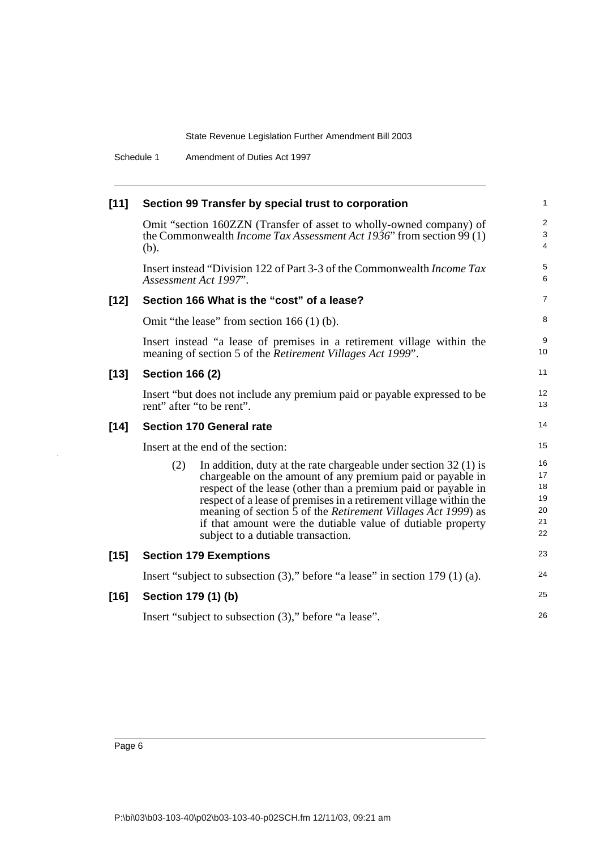Schedule 1 Amendment of Duties Act 1997

| $[11]$ |                        | Section 99 Transfer by special trust to corporation                                                                                                                                                                                                                                                                                                                                                                                                | $\mathbf{1}$                           |
|--------|------------------------|----------------------------------------------------------------------------------------------------------------------------------------------------------------------------------------------------------------------------------------------------------------------------------------------------------------------------------------------------------------------------------------------------------------------------------------------------|----------------------------------------|
|        | (b).                   | Omit "section 160ZZN (Transfer of asset to wholly-owned company) of<br>the Commonwealth <i>Income Tax Assessment Act 1936</i> " from section 99(1)                                                                                                                                                                                                                                                                                                 | $\overline{a}$<br>3<br>4               |
|        |                        | Insert instead "Division 122 of Part 3-3 of the Commonwealth Income Tax<br>Assessment Act 1997".                                                                                                                                                                                                                                                                                                                                                   | 5<br>6                                 |
| $[12]$ |                        | Section 166 What is the "cost" of a lease?                                                                                                                                                                                                                                                                                                                                                                                                         | $\overline{7}$                         |
|        |                        | Omit "the lease" from section $166(1)$ (b).                                                                                                                                                                                                                                                                                                                                                                                                        | 8                                      |
|        |                        | Insert instead "a lease of premises in a retirement village within the<br>meaning of section 5 of the <i>Retirement Villages Act 1999</i> ".                                                                                                                                                                                                                                                                                                       | 9<br>10 <sup>1</sup>                   |
| $[13]$ | <b>Section 166 (2)</b> |                                                                                                                                                                                                                                                                                                                                                                                                                                                    | 11                                     |
|        |                        | Insert "but does not include any premium paid or payable expressed to be<br>rent" after "to be rent".                                                                                                                                                                                                                                                                                                                                              | 12<br>13                               |
| $[14]$ |                        | <b>Section 170 General rate</b>                                                                                                                                                                                                                                                                                                                                                                                                                    | 14                                     |
|        |                        | Insert at the end of the section:                                                                                                                                                                                                                                                                                                                                                                                                                  | 15                                     |
|        | (2)                    | In addition, duty at the rate chargeable under section $32(1)$ is<br>chargeable on the amount of any premium paid or payable in<br>respect of the lease (other than a premium paid or payable in<br>respect of a lease of premises in a retirement village within the<br>meaning of section 5 of the <i>Retirement Villages Act 1999</i> ) as<br>if that amount were the dutiable value of dutiable property<br>subject to a dutiable transaction. | 16<br>17<br>18<br>19<br>20<br>21<br>22 |
| $[15]$ |                        | <b>Section 179 Exemptions</b>                                                                                                                                                                                                                                                                                                                                                                                                                      | 23                                     |
|        |                        | Insert "subject to subsection $(3)$ ," before "a lease" in section 179 $(1)$ $(a)$ .                                                                                                                                                                                                                                                                                                                                                               | 24                                     |
| $[16]$ | Section 179 (1) (b)    |                                                                                                                                                                                                                                                                                                                                                                                                                                                    | 25                                     |
|        |                        | Insert "subject to subsection (3)," before "a lease".                                                                                                                                                                                                                                                                                                                                                                                              | 26                                     |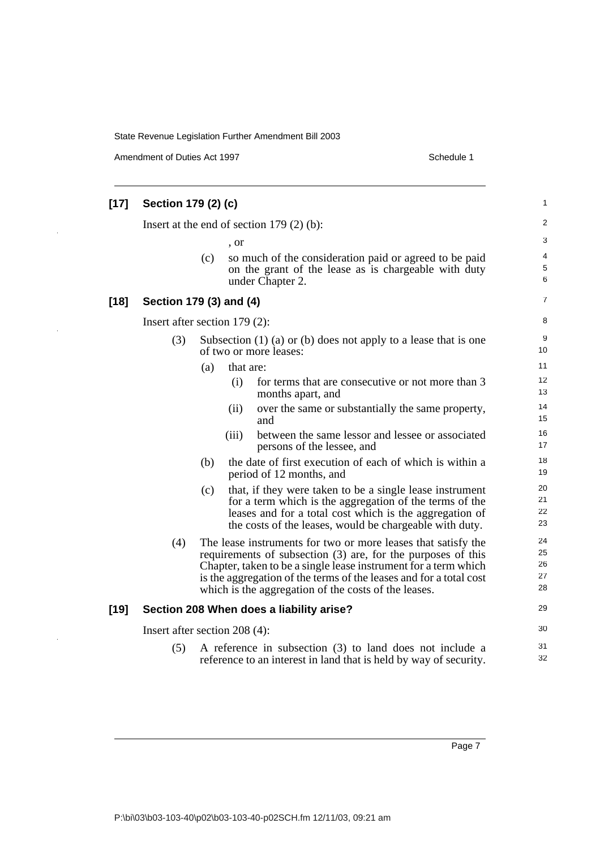Amendment of Duties Act 1997 Schedule 1

 $\hat{\boldsymbol{\epsilon}}$ 

| $[17]$ | Section 179 (2) (c)             |     |           |                                                                                                                                                                                                                                                                                                                                  | 1                                 |
|--------|---------------------------------|-----|-----------|----------------------------------------------------------------------------------------------------------------------------------------------------------------------------------------------------------------------------------------------------------------------------------------------------------------------------------|-----------------------------------|
|        |                                 |     |           | Insert at the end of section $179(2)$ (b):                                                                                                                                                                                                                                                                                       | $\overline{2}$                    |
|        |                                 |     | , or      |                                                                                                                                                                                                                                                                                                                                  | 3                                 |
|        |                                 | (c) |           | so much of the consideration paid or agreed to be paid<br>on the grant of the lease as is chargeable with duty<br>under Chapter 2.                                                                                                                                                                                               | $\overline{\mathbf{4}}$<br>5<br>6 |
| $[18]$ | Section 179 (3) and (4)         |     |           |                                                                                                                                                                                                                                                                                                                                  | $\overline{7}$                    |
|        | Insert after section 179 (2):   |     |           |                                                                                                                                                                                                                                                                                                                                  | 8                                 |
|        | (3)                             |     |           | Subsection $(1)$ $(a)$ or $(b)$ does not apply to a lease that is one<br>of two or more leases:                                                                                                                                                                                                                                  | 9<br>10                           |
|        |                                 | (a) | that are: |                                                                                                                                                                                                                                                                                                                                  | 11                                |
|        |                                 |     | (i)       | for terms that are consecutive or not more than 3<br>months apart, and                                                                                                                                                                                                                                                           | 12<br>13                          |
|        |                                 |     | (ii)      | over the same or substantially the same property,<br>and                                                                                                                                                                                                                                                                         | 14<br>15                          |
|        |                                 |     | (iii)     | between the same lessor and lessee or associated<br>persons of the lessee, and                                                                                                                                                                                                                                                   | 16<br>17                          |
|        |                                 | (b) |           | the date of first execution of each of which is within a<br>period of 12 months, and                                                                                                                                                                                                                                             | 18<br>19                          |
|        |                                 | (c) |           | that, if they were taken to be a single lease instrument<br>for a term which is the aggregation of the terms of the<br>leases and for a total cost which is the aggregation of<br>the costs of the leases, would be chargeable with duty.                                                                                        | 20<br>21<br>22<br>23              |
|        | (4)                             |     |           | The lease instruments for two or more leases that satisfy the<br>requirements of subsection $(3)$ are, for the purposes of this<br>Chapter, taken to be a single lease instrument for a term which<br>is the aggregation of the terms of the leases and for a total cost<br>which is the aggregation of the costs of the leases. | 24<br>25<br>26<br>27<br>28        |
| $[19]$ |                                 |     |           | Section 208 When does a liability arise?                                                                                                                                                                                                                                                                                         | 29                                |
|        | Insert after section $208(4)$ : |     |           |                                                                                                                                                                                                                                                                                                                                  | 30                                |
|        | (5)                             |     |           | A reference in subsection $(3)$ to land does not include a<br>reference to an interest in land that is held by way of security.                                                                                                                                                                                                  | 31<br>32                          |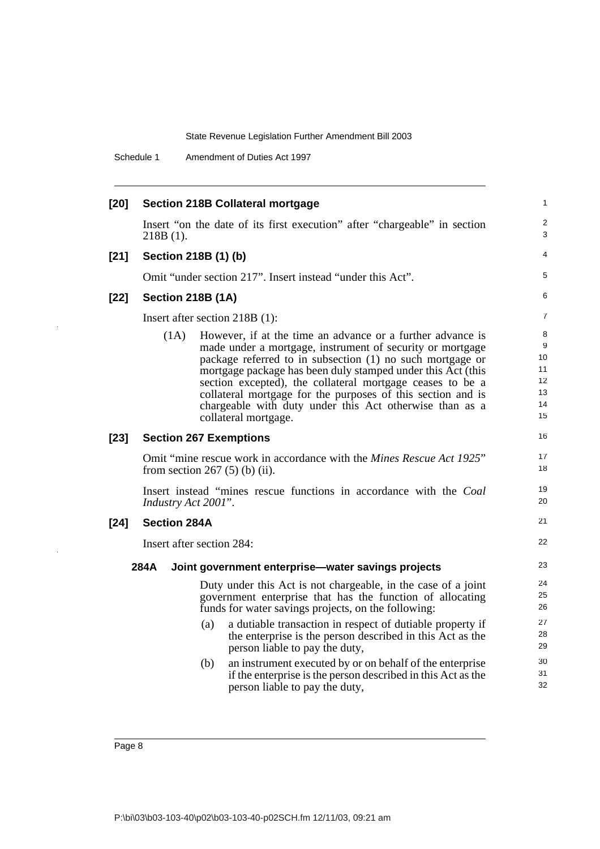Schedule 1 Amendment of Duties Act 1997

| [20]   | <b>Section 218B Collateral mortgage</b>                                                                                                                                                                                                                                                                                                                                                                                                                                    | 1                                          |
|--------|----------------------------------------------------------------------------------------------------------------------------------------------------------------------------------------------------------------------------------------------------------------------------------------------------------------------------------------------------------------------------------------------------------------------------------------------------------------------------|--------------------------------------------|
|        | Insert "on the date of its first execution" after "chargeable" in section<br>$218B(1)$ .                                                                                                                                                                                                                                                                                                                                                                                   | 2<br>3                                     |
| $[21]$ | Section 218B (1) (b)                                                                                                                                                                                                                                                                                                                                                                                                                                                       | 4                                          |
|        | Omit "under section 217". Insert instead "under this Act".                                                                                                                                                                                                                                                                                                                                                                                                                 | 5                                          |
| $[22]$ | Section 218B (1A)                                                                                                                                                                                                                                                                                                                                                                                                                                                          | 6                                          |
|        | Insert after section 218B (1):                                                                                                                                                                                                                                                                                                                                                                                                                                             | $\overline{7}$                             |
|        | However, if at the time an advance or a further advance is<br>(1A)<br>made under a mortgage, instrument of security or mortgage<br>package referred to in subsection (1) no such mortgage or<br>mortgage package has been duly stamped under this Act (this<br>section excepted), the collateral mortgage ceases to be a<br>collateral mortgage for the purposes of this section and is<br>chargeable with duty under this Act otherwise than as a<br>collateral mortgage. | 8<br>9<br>10<br>11<br>12<br>13<br>14<br>15 |
| $[23]$ | <b>Section 267 Exemptions</b>                                                                                                                                                                                                                                                                                                                                                                                                                                              | 16                                         |
|        | Omit "mine rescue work in accordance with the Mines Rescue Act 1925"<br>from section $267(5)$ (b) (ii).                                                                                                                                                                                                                                                                                                                                                                    | 17<br>18                                   |
|        | Insert instead "mines rescue functions in accordance with the Coal<br>Industry Act 2001".                                                                                                                                                                                                                                                                                                                                                                                  | 19<br>20                                   |
| $[24]$ | <b>Section 284A</b>                                                                                                                                                                                                                                                                                                                                                                                                                                                        | 21                                         |
|        | Insert after section 284:                                                                                                                                                                                                                                                                                                                                                                                                                                                  | 22                                         |
|        | 284A<br>Joint government enterprise-water savings projects                                                                                                                                                                                                                                                                                                                                                                                                                 | 23                                         |
|        | Duty under this Act is not chargeable, in the case of a joint<br>government enterprise that has the function of allocating<br>funds for water savings projects, on the following:<br>a dutiable transaction in respect of dutiable property if<br>(a)<br>the enterprise is the person described in this Act as the                                                                                                                                                         | 24<br>25<br>26<br>27<br>28                 |
|        | person liable to pay the duty,<br>an instrument executed by or on behalf of the enterprise<br>(b)<br>if the enterprise is the person described in this Act as the<br>person liable to pay the duty,                                                                                                                                                                                                                                                                        | 29<br>30<br>31<br>32                       |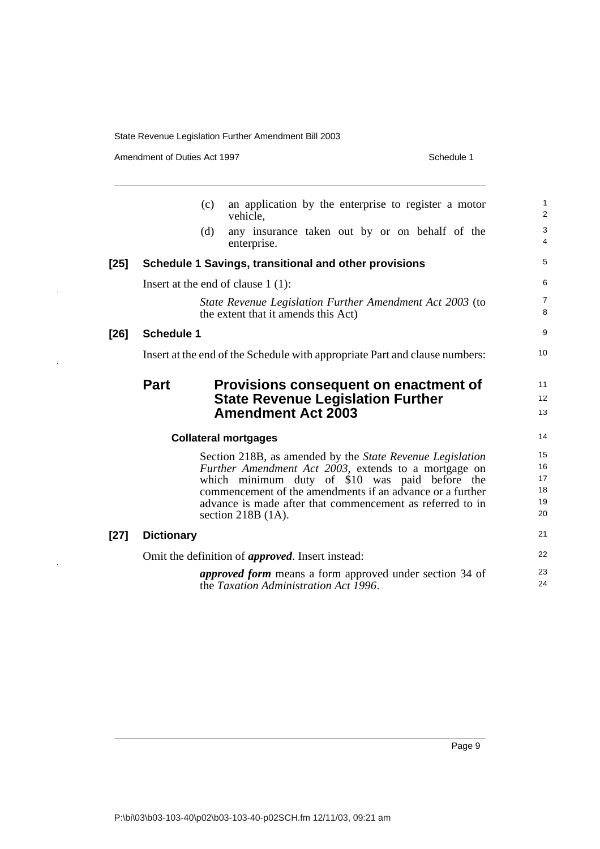Amendment of Duties Act 1997 Schedule 1

 $\bar{z}$ 

 $\overline{\phantom{a}}$ 

 $\overline{\phantom{a}}$ 

|                                                                                                                                                             | an application by the enterprise to register a motor<br>(c)<br>vehicle,                                                                                                                                                                                                                                               | $\mathbf{1}$<br>2                |
|-------------------------------------------------------------------------------------------------------------------------------------------------------------|-----------------------------------------------------------------------------------------------------------------------------------------------------------------------------------------------------------------------------------------------------------------------------------------------------------------------|----------------------------------|
|                                                                                                                                                             | any insurance taken out by or on behalf of the<br>(d)<br>enterprise.                                                                                                                                                                                                                                                  | $\mathbf{3}$<br>$\overline{4}$   |
| $[25]$                                                                                                                                                      | Schedule 1 Savings, transitional and other provisions                                                                                                                                                                                                                                                                 | 5                                |
|                                                                                                                                                             | Insert at the end of clause $1(1)$ :                                                                                                                                                                                                                                                                                  | 6                                |
|                                                                                                                                                             | State Revenue Legislation Further Amendment Act 2003 (to<br>the extent that it amends this Act)                                                                                                                                                                                                                       | $\overline{7}$<br>8              |
| [26]                                                                                                                                                        | <b>Schedule 1</b>                                                                                                                                                                                                                                                                                                     | 9                                |
|                                                                                                                                                             | Insert at the end of the Schedule with appropriate Part and clause numbers:                                                                                                                                                                                                                                           | 10                               |
|                                                                                                                                                             | <b>Part</b><br>Provisions consequent on enactment of                                                                                                                                                                                                                                                                  | 11                               |
|                                                                                                                                                             | <b>State Revenue Legislation Further</b><br><b>Amendment Act 2003</b>                                                                                                                                                                                                                                                 | 12<br>13                         |
|                                                                                                                                                             | <b>Collateral mortgages</b>                                                                                                                                                                                                                                                                                           | 14                               |
|                                                                                                                                                             | Section 218B, as amended by the State Revenue Legislation<br>Further Amendment Act 2003, extends to a mortgage on<br>which minimum duty of \$10 was paid before the<br>commencement of the amendments if an advance or a further<br>advance is made after that commencement as referred to in<br>section $218B$ (1A). | 15<br>16<br>17<br>18<br>19<br>20 |
| $[27] % \includegraphics[width=0.9\columnwidth]{figures/fig_10.pdf} \caption{The 3D (black) model for the estimators in the left and right.} \label{fig:2}$ | <b>Dictionary</b>                                                                                                                                                                                                                                                                                                     | 21                               |
|                                                                                                                                                             | Omit the definition of <i>approved</i> . Insert instead:                                                                                                                                                                                                                                                              | 22                               |
|                                                                                                                                                             | <i>approved form</i> means a form approved under section 34 of<br>the Taxation Administration Act 1996.                                                                                                                                                                                                               | 23<br>24                         |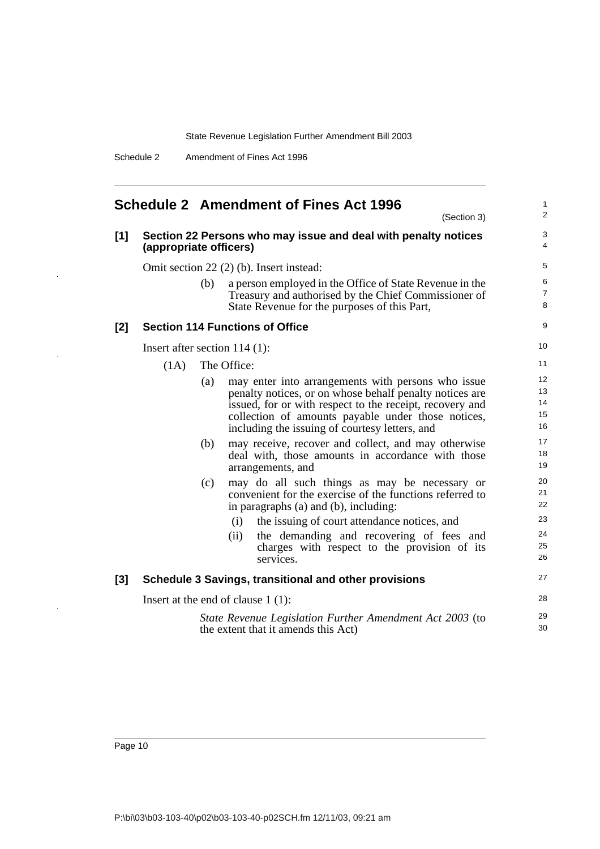<span id="page-21-0"></span>

| <b>Schedule 2 Amendment of Fines Act 1996</b><br>(Section 3) |                                 |                   |                                                                                                                                                                                                                                                                                                                                                                                                                                                                                                                                                                                                                                                                                                                                                  |                                                                                                       |
|--------------------------------------------------------------|---------------------------------|-------------------|--------------------------------------------------------------------------------------------------------------------------------------------------------------------------------------------------------------------------------------------------------------------------------------------------------------------------------------------------------------------------------------------------------------------------------------------------------------------------------------------------------------------------------------------------------------------------------------------------------------------------------------------------------------------------------------------------------------------------------------------------|-------------------------------------------------------------------------------------------------------|
| $[1]$                                                        | (appropriate officers)          |                   | Section 22 Persons who may issue and deal with penalty notices                                                                                                                                                                                                                                                                                                                                                                                                                                                                                                                                                                                                                                                                                   | 3<br>4                                                                                                |
|                                                              |                                 |                   | Omit section 22 (2) (b). Insert instead:                                                                                                                                                                                                                                                                                                                                                                                                                                                                                                                                                                                                                                                                                                         | 5                                                                                                     |
|                                                              |                                 | (b)               | a person employed in the Office of State Revenue in the<br>Treasury and authorised by the Chief Commissioner of<br>State Revenue for the purposes of this Part,                                                                                                                                                                                                                                                                                                                                                                                                                                                                                                                                                                                  | 6<br>$\overline{7}$<br>8                                                                              |
| [2]                                                          |                                 |                   | <b>Section 114 Functions of Office</b>                                                                                                                                                                                                                                                                                                                                                                                                                                                                                                                                                                                                                                                                                                           | 9                                                                                                     |
|                                                              | Insert after section $114(1)$ : |                   |                                                                                                                                                                                                                                                                                                                                                                                                                                                                                                                                                                                                                                                                                                                                                  | 10                                                                                                    |
|                                                              | (1A)                            |                   | The Office:                                                                                                                                                                                                                                                                                                                                                                                                                                                                                                                                                                                                                                                                                                                                      | 11                                                                                                    |
|                                                              |                                 | (a)<br>(b)<br>(c) | may enter into arrangements with persons who issue<br>penalty notices, or on whose behalf penalty notices are<br>issued, for or with respect to the receipt, recovery and<br>collection of amounts payable under those notices,<br>including the issuing of courtesy letters, and<br>may receive, recover and collect, and may otherwise<br>deal with, those amounts in accordance with those<br>arrangements, and<br>may do all such things as may be necessary or<br>convenient for the exercise of the functions referred to<br>in paragraphs (a) and (b), including:<br>the issuing of court attendance notices, and<br>(i)<br>the demanding and recovering of fees and<br>(ii)<br>charges with respect to the provision of its<br>services. | $12 \overline{ }$<br>13<br>14<br>15<br>16<br>17<br>18<br>19<br>20<br>21<br>22<br>23<br>24<br>25<br>26 |
| $[3]$                                                        |                                 |                   | Schedule 3 Savings, transitional and other provisions                                                                                                                                                                                                                                                                                                                                                                                                                                                                                                                                                                                                                                                                                            | 27                                                                                                    |
|                                                              |                                 |                   | Insert at the end of clause $1(1)$ :                                                                                                                                                                                                                                                                                                                                                                                                                                                                                                                                                                                                                                                                                                             | 28                                                                                                    |
|                                                              |                                 |                   | State Revenue Legislation Further Amendment Act 2003 (to<br>the extent that it amends this Act)                                                                                                                                                                                                                                                                                                                                                                                                                                                                                                                                                                                                                                                  | 29<br>30                                                                                              |

÷,

 $\frac{1}{2}$ 

 $\bar{z}$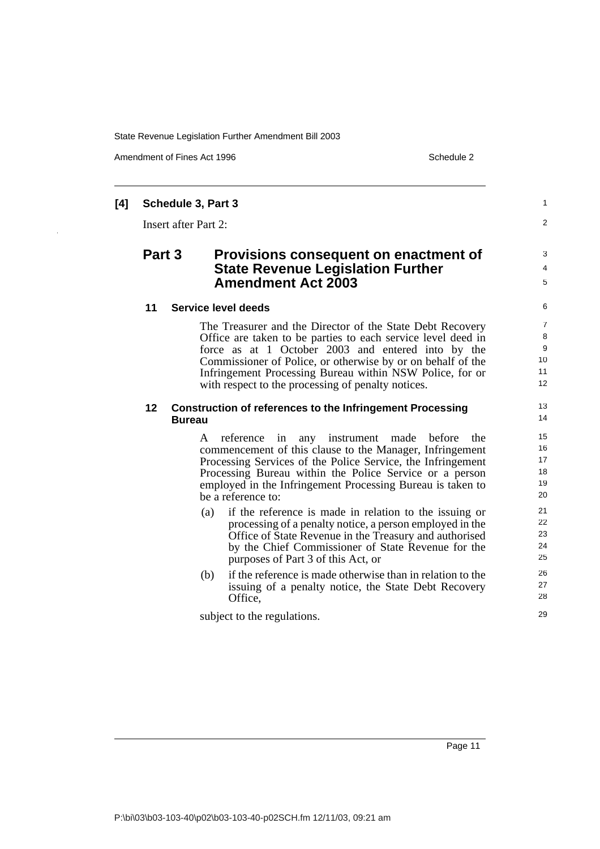Amendment of Fines Act 1996 Schedule 2

1  $\overline{2}$ 

3 4 5

# **[4] Schedule 3, Part 3** Insert after Part 2: **Part 3 Provisions consequent on enactment of State Revenue Legislation Further Amendment Act 2003 11 Service level deeds** The Treasurer and the Director of the State Debt Recovery Office are taken to be parties to each service level deed in force as at 1 October 2003 and entered into by the Commissioner of Police, or otherwise by or on behalf of the Infringement Processing Bureau within NSW Police, for or with respect to the processing of penalty notices. **12 Construction of references to the Infringement Processing Bureau** A reference in any instrument made before the commencement of this clause to the Manager, Infringement Processing Services of the Police Service, the Infringement Processing Bureau within the Police Service or a person employed in the Infringement Processing Bureau is taken to be a reference to: (a) if the reference is made in relation to the issuing or processing of a penalty notice, a person employed in the Office of State Revenue in the Treasury and authorised by the Chief Commissioner of State Revenue for the purposes of Part 3 of this Act, or (b) if the reference is made otherwise than in relation to the issuing of a penalty notice, the State Debt Recovery Office, subject to the regulations.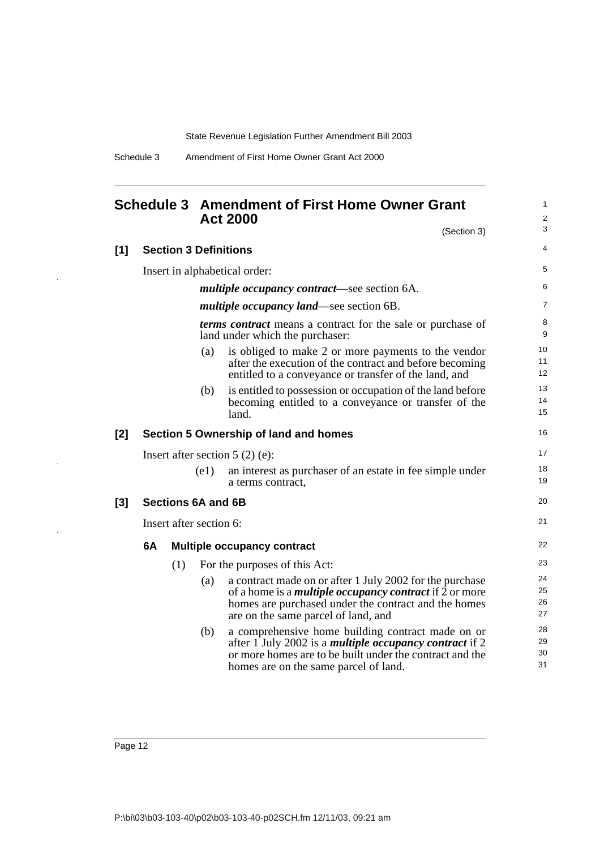Schedule 3 Amendment of First Home Owner Grant Act 2000

# <span id="page-23-0"></span>**Schedule 3 Amendment of First Home Owner Grant Act 2000**

(Section 3)

1 2 3

| [1] |    |     |                           | <b>Section 3 Definitions</b>                                                                                                                                                                                              | $\overline{4}$       |
|-----|----|-----|---------------------------|---------------------------------------------------------------------------------------------------------------------------------------------------------------------------------------------------------------------------|----------------------|
|     |    |     |                           | Insert in alphabetical order:                                                                                                                                                                                             | 5                    |
|     |    |     |                           | <i>multiple occupancy contract—see section 6A.</i>                                                                                                                                                                        | 6                    |
|     |    |     |                           | <i>multiple occupancy land</i> —see section 6B.                                                                                                                                                                           | 7                    |
|     |    |     |                           | <i>terms contract</i> means a contract for the sale or purchase of<br>land under which the purchaser:                                                                                                                     | 8<br>9               |
|     |    |     | (a)                       | is obliged to make 2 or more payments to the vendor<br>after the execution of the contract and before becoming<br>entitled to a conveyance or transfer of the land, and                                                   | 10<br>11<br>12       |
|     |    |     | (b)                       | is entitled to possession or occupation of the land before<br>becoming entitled to a conveyance or transfer of the<br>land.                                                                                               | 13<br>14<br>15       |
| [2] |    |     |                           | Section 5 Ownership of land and homes                                                                                                                                                                                     | 16                   |
|     |    |     |                           | Insert after section $5(2)$ (e):                                                                                                                                                                                          | 17                   |
|     |    |     | (e1)                      | an interest as purchaser of an estate in fee simple under<br>a terms contract,                                                                                                                                            | 18<br>19             |
| [3] |    |     | <b>Sections 6A and 6B</b> |                                                                                                                                                                                                                           | 20                   |
|     |    |     | Insert after section 6:   |                                                                                                                                                                                                                           | 21                   |
|     | 6A |     |                           | <b>Multiple occupancy contract</b>                                                                                                                                                                                        | 22                   |
|     |    | (1) |                           | For the purposes of this Act:                                                                                                                                                                                             | 23                   |
|     |    |     | (a)                       | a contract made on or after 1 July 2002 for the purchase<br>of a home is a <i>multiple occupancy contract</i> if 2 or more<br>homes are purchased under the contract and the homes<br>are on the same parcel of land, and | 24<br>25<br>26<br>27 |
|     |    |     | (b)                       | a comprehensive home building contract made on or<br>after 1 July 2002 is a <i>multiple occupancy contract</i> if 2<br>or more homes are to be built under the contract and the<br>homes are on the same parcel of land.  | 28<br>29<br>30<br>31 |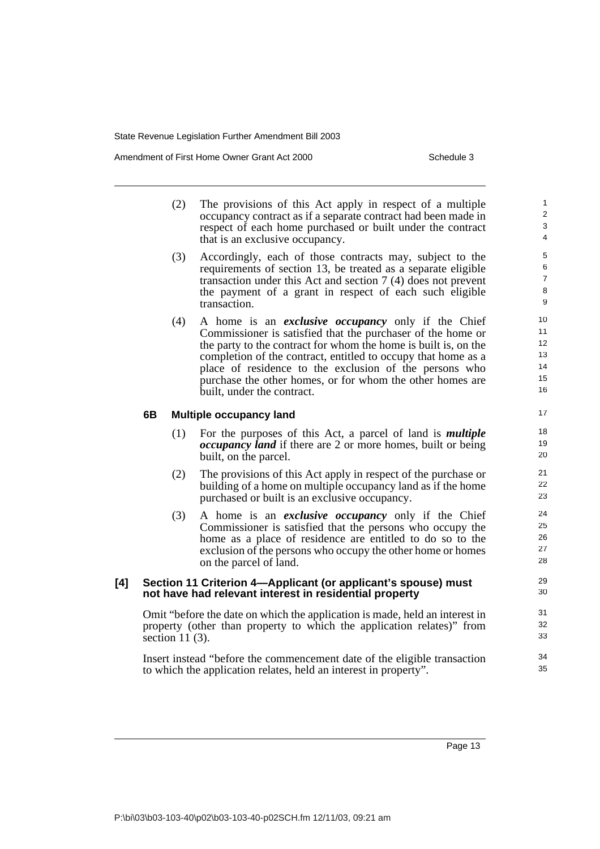Amendment of First Home Owner Grant Act 2000 Schedule 3

31 32 33

34 35

- (2) The provisions of this Act apply in respect of a multiple occupancy contract as if a separate contract had been made in respect of each home purchased or built under the contract that is an exclusive occupancy.
- (3) Accordingly, each of those contracts may, subject to the requirements of section 13, be treated as a separate eligible transaction under this Act and section 7 (4) does not prevent the payment of a grant in respect of each such eligible transaction.
- (4) A home is an *exclusive occupancy* only if the Chief Commissioner is satisfied that the purchaser of the home or the party to the contract for whom the home is built is, on the completion of the contract, entitled to occupy that home as a place of residence to the exclusion of the persons who purchase the other homes, or for whom the other homes are built, under the contract.

#### **6B Multiple occupancy land**

- (1) For the purposes of this Act, a parcel of land is *multiple occupancy land* if there are 2 or more homes, built or being built, on the parcel.
- (2) The provisions of this Act apply in respect of the purchase or building of a home on multiple occupancy land as if the home purchased or built is an exclusive occupancy.
- (3) A home is an *exclusive occupancy* only if the Chief Commissioner is satisfied that the persons who occupy the home as a place of residence are entitled to do so to the exclusion of the persons who occupy the other home or homes on the parcel of land.

#### **[4] Section 11 Criterion 4—Applicant (or applicant's spouse) must not have had relevant interest in residential property**

Omit "before the date on which the application is made, held an interest in property (other than property to which the application relates)" from section 11 (3).

Insert instead "before the commencement date of the eligible transaction to which the application relates, held an interest in property".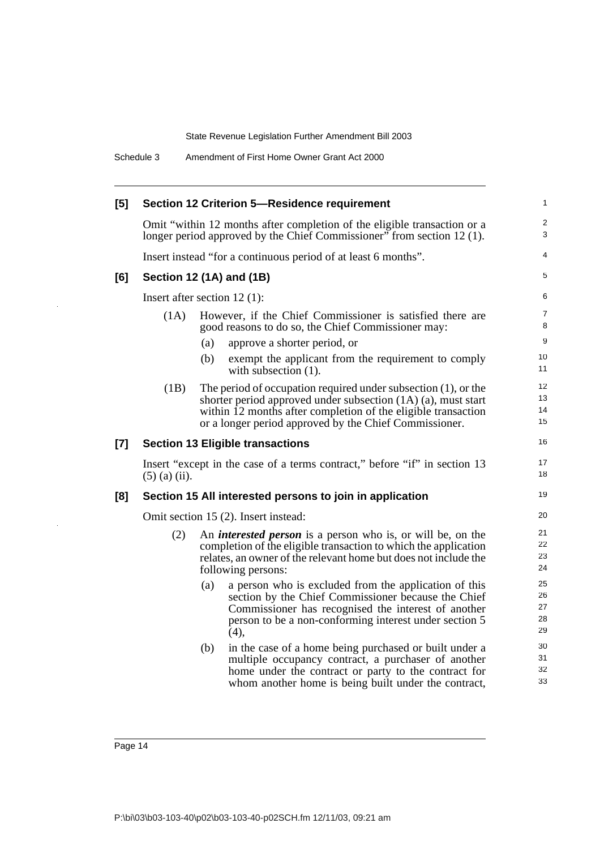|  | Schedule 3 | Amendment of First Home Owner Grant Act 2000 |
|--|------------|----------------------------------------------|
|--|------------|----------------------------------------------|

| [5]   |                 | Section 12 Criterion 5-Residence requirement                                                                                                                                                                                                                    | $\mathbf{1}$               |
|-------|-----------------|-----------------------------------------------------------------------------------------------------------------------------------------------------------------------------------------------------------------------------------------------------------------|----------------------------|
|       |                 | Omit "within 12 months after completion of the eligible transaction or a<br>longer period approved by the Chief Commissioner" from section 12(1).                                                                                                               | $\overline{c}$<br>3        |
|       |                 | Insert instead "for a continuous period of at least 6 months".                                                                                                                                                                                                  | 4                          |
| [6]   |                 | Section 12 (1A) and (1B)                                                                                                                                                                                                                                        | 5                          |
|       |                 | Insert after section 12 $(1)$ :                                                                                                                                                                                                                                 | 6                          |
|       | (1A)            | However, if the Chief Commissioner is satisfied there are<br>good reasons to do so, the Chief Commissioner may:                                                                                                                                                 | $\overline{7}$<br>8        |
|       |                 | (a)<br>approve a shorter period, or                                                                                                                                                                                                                             | 9                          |
|       |                 | exempt the applicant from the requirement to comply<br>(b)<br>with subsection $(1)$ .                                                                                                                                                                           | 10<br>11                   |
|       | (1B)            | The period of occupation required under subsection $(1)$ , or the<br>shorter period approved under subsection $(1A)(a)$ , must start<br>within 12 months after completion of the eligible transaction<br>or a longer period approved by the Chief Commissioner. | 12<br>13<br>14<br>15       |
| $[7]$ |                 | <b>Section 13 Eligible transactions</b>                                                                                                                                                                                                                         | 16                         |
|       | $(5)$ (a) (ii). | Insert "except in the case of a terms contract," before "if" in section 13                                                                                                                                                                                      | 17<br>18                   |
| [8]   |                 | Section 15 All interested persons to join in application                                                                                                                                                                                                        | 19                         |
|       |                 | Omit section 15 (2). Insert instead:                                                                                                                                                                                                                            | 20                         |
|       | (2)             | An <i>interested person</i> is a person who is, or will be, on the<br>completion of the eligible transaction to which the application<br>relates, an owner of the relevant home but does not include the<br>following persons:                                  | 21<br>22<br>23<br>24       |
|       |                 | (a)<br>a person who is excluded from the application of this<br>section by the Chief Commissioner because the Chief<br>Commissioner has recognised the interest of another<br>person to be a non-conforming interest under section 5<br>(4),                    | 25<br>26<br>27<br>28<br>29 |
|       |                 | in the case of a home being purchased or built under a<br>(b)<br>multiple occupancy contract, a purchaser of another<br>home under the contract or party to the contract for<br>whom another home is being built under the contract,                            | 30<br>31<br>32<br>33       |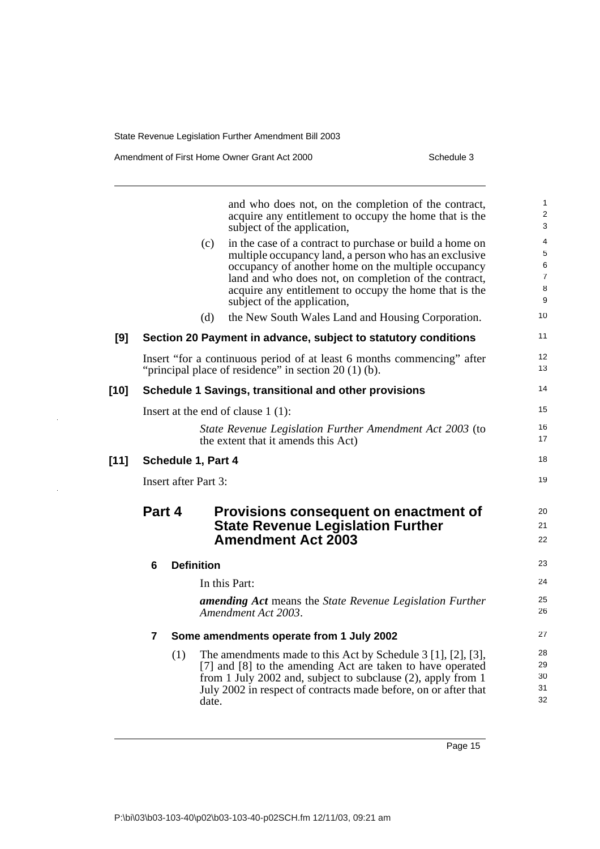$\ddot{\phantom{a}}$ 

|        |        |     |                             | and who does not, on the completion of the contract,<br>acquire any entitlement to occupy the home that is the<br>subject of the application,                                                                                                                                                                               | 1<br>$\overline{\mathbf{c}}$<br>3       |
|--------|--------|-----|-----------------------------|-----------------------------------------------------------------------------------------------------------------------------------------------------------------------------------------------------------------------------------------------------------------------------------------------------------------------------|-----------------------------------------|
|        |        |     | (c)                         | in the case of a contract to purchase or build a home on<br>multiple occupancy land, a person who has an exclusive<br>occupancy of another home on the multiple occupancy<br>land and who does not, on completion of the contract,<br>acquire any entitlement to occupy the home that is the<br>subject of the application, | 4<br>5<br>6<br>$\overline{7}$<br>8<br>9 |
|        |        |     | (d)                         | the New South Wales Land and Housing Corporation.                                                                                                                                                                                                                                                                           | 10                                      |
| [9]    |        |     |                             | Section 20 Payment in advance, subject to statutory conditions                                                                                                                                                                                                                                                              | 11                                      |
|        |        |     |                             | Insert "for a continuous period of at least 6 months commencing" after<br>"principal place of residence" in section $20(1)(b)$ .                                                                                                                                                                                            | 12<br>13                                |
| $[10]$ |        |     |                             | Schedule 1 Savings, transitional and other provisions                                                                                                                                                                                                                                                                       | 14                                      |
|        |        |     |                             | Insert at the end of clause $1(1)$ :                                                                                                                                                                                                                                                                                        | 15                                      |
|        |        |     |                             | State Revenue Legislation Further Amendment Act 2003 (to<br>the extent that it amends this Act)                                                                                                                                                                                                                             | 16<br>17                                |
| $[11]$ |        |     | Schedule 1, Part 4          |                                                                                                                                                                                                                                                                                                                             | 18                                      |
|        |        |     | <b>Insert after Part 3:</b> |                                                                                                                                                                                                                                                                                                                             | 19                                      |
|        | Part 4 |     |                             | Provisions consequent on enactment of<br><b>State Revenue Legislation Further</b><br><b>Amendment Act 2003</b>                                                                                                                                                                                                              | 20<br>21<br>22                          |
|        | 6      |     | <b>Definition</b>           |                                                                                                                                                                                                                                                                                                                             | 23                                      |
|        |        |     |                             | In this Part:                                                                                                                                                                                                                                                                                                               | 24                                      |
|        |        |     |                             | <b>amending Act</b> means the State Revenue Legislation Further<br>Amendment Act 2003.                                                                                                                                                                                                                                      | 25<br>26                                |
|        | 7      |     |                             | Some amendments operate from 1 July 2002                                                                                                                                                                                                                                                                                    | 27                                      |
|        |        | (1) | date.                       | The amendments made to this Act by Schedule 3 [1], [2], [3],<br>[7] and [8] to the amending Act are taken to have operated<br>from 1 July 2002 and, subject to subclause (2), apply from 1<br>July 2002 in respect of contracts made before, on or after that                                                               | 28<br>29<br>30<br>31<br>32              |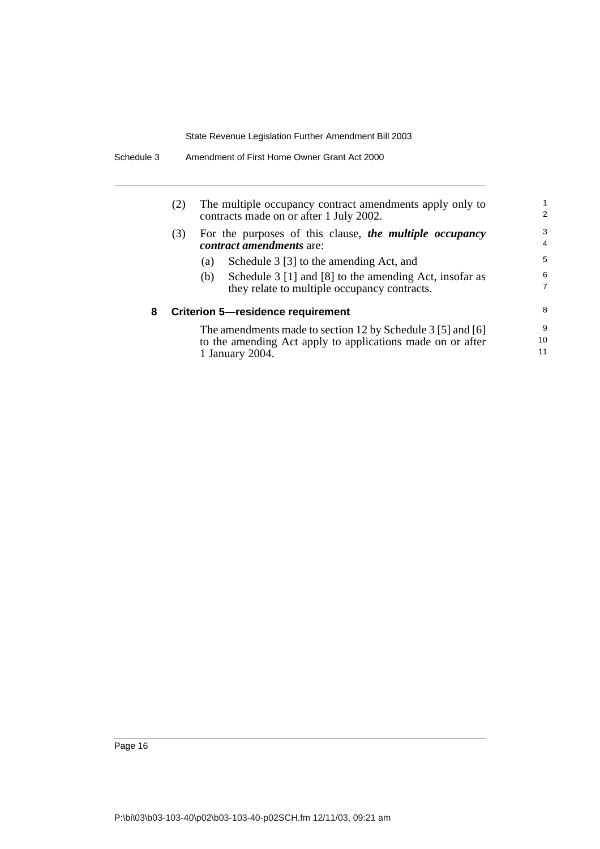|   | (2) | The multiple occupancy contract amendments apply only to<br>contracts made on or after 1 July 2002.           | $\mathbf{1}$<br>2   |
|---|-----|---------------------------------------------------------------------------------------------------------------|---------------------|
|   | (3) | For the purposes of this clause, the multiple occupancy<br><i>contract amendments are:</i>                    | 3<br>4              |
|   |     | Schedule 3 [3] to the amending Act, and<br>(a)                                                                | 5                   |
|   |     | Schedule 3 [1] and [8] to the amending Act, insofar as<br>(b)<br>they relate to multiple occupancy contracts. | 6<br>$\overline{7}$ |
| 8 |     | <b>Criterion 5-residence requirement</b>                                                                      | 8                   |
|   |     | The amendments made to section 12 by Schedule 3 [5] and [6]                                                   | 9                   |
|   |     | to the amending Act apply to applications made on or after                                                    | 10                  |
|   |     | 1 January 2004.                                                                                               | 11                  |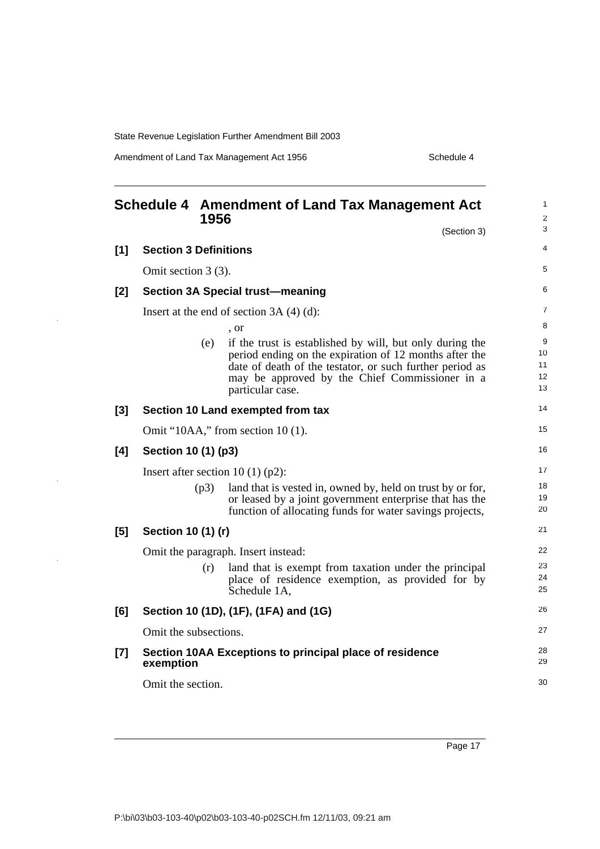Amendment of Land Tax Management Act 1956 Schedule 4

 $\ddot{\phantom{a}}$ 

 $\frac{1}{2}$ 

<span id="page-28-0"></span>

|       | 1956                              | <b>Schedule 4 Amendment of Land Tax Management Act</b>                                                                                                                                                                                               | 1<br>$\overline{\mathbf{c}}$ |
|-------|-----------------------------------|------------------------------------------------------------------------------------------------------------------------------------------------------------------------------------------------------------------------------------------------------|------------------------------|
|       |                                   | (Section 3)                                                                                                                                                                                                                                          | 3                            |
| [1]   | <b>Section 3 Definitions</b>      |                                                                                                                                                                                                                                                      | 4                            |
|       | Omit section $3(3)$ .             |                                                                                                                                                                                                                                                      | 5                            |
| [2]   |                                   | <b>Section 3A Special trust-meaning</b>                                                                                                                                                                                                              | 6                            |
|       |                                   | Insert at the end of section $3A(4)(d)$ :                                                                                                                                                                                                            | 7                            |
|       |                                   | , or                                                                                                                                                                                                                                                 | 8                            |
|       | (e)                               | if the trust is established by will, but only during the<br>period ending on the expiration of 12 months after the<br>date of death of the testator, or such further period as<br>may be approved by the Chief Commissioner in a<br>particular case. | 9<br>10<br>11<br>12<br>13    |
| $[3]$ |                                   | Section 10 Land exempted from tax                                                                                                                                                                                                                    | 14                           |
|       |                                   | Omit "10AA," from section 10 (1).                                                                                                                                                                                                                    | 15                           |
| [4]   | Section 10 (1) (p3)               |                                                                                                                                                                                                                                                      | 16                           |
|       | Insert after section 10 (1) (p2): |                                                                                                                                                                                                                                                      | 17                           |
|       | (p3)                              | land that is vested in, owned by, held on trust by or for,<br>or leased by a joint government enterprise that has the<br>function of allocating funds for water savings projects,                                                                    | 18<br>19<br>20               |
| [5]   | Section 10 (1) (r)                |                                                                                                                                                                                                                                                      | 21                           |
|       |                                   | Omit the paragraph. Insert instead:                                                                                                                                                                                                                  | 22                           |
|       | (r)                               | land that is exempt from taxation under the principal<br>place of residence exemption, as provided for by<br>Schedule 1A.                                                                                                                            | 23<br>24<br>25               |
| [6]   |                                   | Section 10 (1D), (1F), (1FA) and (1G)                                                                                                                                                                                                                | 26                           |
|       | Omit the subsections.             |                                                                                                                                                                                                                                                      | 27                           |
| $[7]$ | exemption                         | Section 10AA Exceptions to principal place of residence                                                                                                                                                                                              | 28<br>29                     |
|       | Omit the section.                 |                                                                                                                                                                                                                                                      | 30                           |
|       |                                   |                                                                                                                                                                                                                                                      |                              |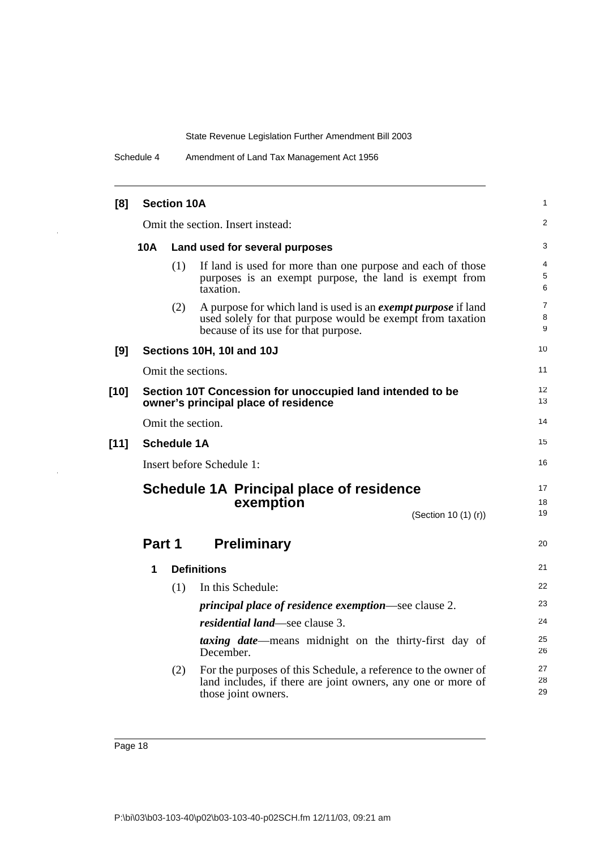| Schedule 4 | Amendment of Land Tax Management Act 1956 |
|------------|-------------------------------------------|
|------------|-------------------------------------------|

| [8]    |            | <b>Section 10A</b> |                                                                                                                                                                            | 1              |
|--------|------------|--------------------|----------------------------------------------------------------------------------------------------------------------------------------------------------------------------|----------------|
|        |            |                    | Omit the section. Insert instead:                                                                                                                                          | 2              |
|        | <b>10A</b> |                    | Land used for several purposes                                                                                                                                             | 3              |
|        |            | (1)                | If land is used for more than one purpose and each of those<br>purposes is an exempt purpose, the land is exempt from<br>taxation.                                         | 4<br>5<br>6    |
|        |            | (2)                | A purpose for which land is used is an <i>exempt purpose</i> if land<br>used solely for that purpose would be exempt from taxation<br>because of its use for that purpose. | 7<br>8<br>9    |
| [9]    |            |                    | Sections 10H, 10I and 10J                                                                                                                                                  | 10             |
|        |            |                    | Omit the sections.                                                                                                                                                         | 11             |
| $[10]$ |            |                    | Section 10T Concession for unoccupied land intended to be<br>owner's principal place of residence                                                                          | 12<br>13       |
|        |            |                    | Omit the section.                                                                                                                                                          | 14             |
| $[11]$ |            | <b>Schedule 1A</b> |                                                                                                                                                                            | 15             |
|        |            |                    | Insert before Schedule 1:                                                                                                                                                  | 16             |
|        |            |                    | <b>Schedule 1A Principal place of residence</b><br>exemption                                                                                                               | 17<br>18       |
|        |            |                    | (Section 10 (1) (r))                                                                                                                                                       | 19             |
|        | Part 1     |                    | <b>Preliminary</b>                                                                                                                                                         | 20             |
|        | 1          |                    | <b>Definitions</b>                                                                                                                                                         | 21             |
|        |            | (1)                | In this Schedule:                                                                                                                                                          | 22             |
|        |            |                    | <i>principal place of residence exemption—see clause 2.</i>                                                                                                                | 23             |
|        |            |                    | <i>residential land</i> —see clause 3.                                                                                                                                     | 24             |
|        |            |                    | taxing date-means midnight on the thirty-first day of<br>December.                                                                                                         | 25<br>26       |
|        |            | (2)                | For the purposes of this Schedule, a reference to the owner of<br>land includes, if there are joint owners, any one or more of<br>those joint owners.                      | 27<br>28<br>29 |

Page 18

 $\overline{\phantom{a}}$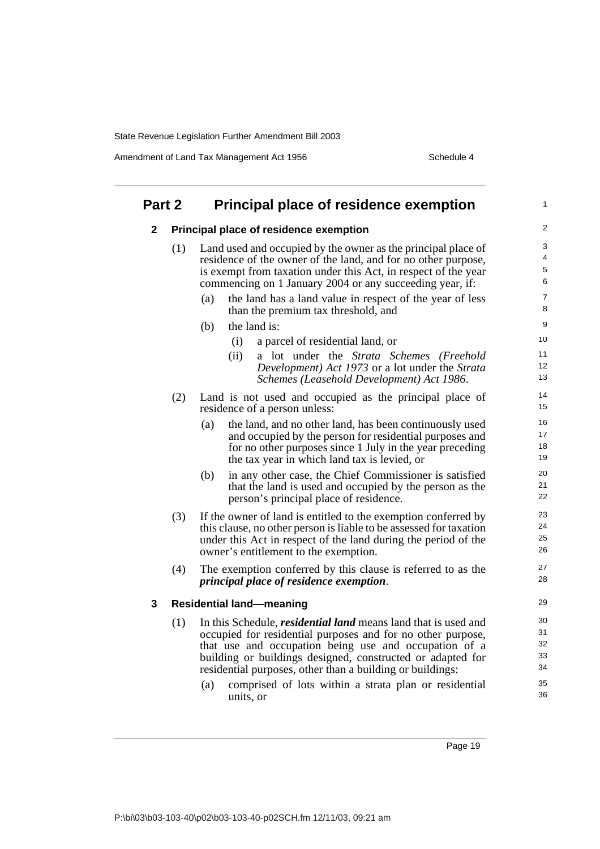Amendment of Land Tax Management Act 1956 Schedule 4

| Part 2       |     | Principal place of residence exemption                                                                                                                                                                                                                       | $\mathbf{1}$               |
|--------------|-----|--------------------------------------------------------------------------------------------------------------------------------------------------------------------------------------------------------------------------------------------------------------|----------------------------|
| $\mathbf{2}$ |     | Principal place of residence exemption                                                                                                                                                                                                                       | $\overline{2}$             |
|              | (1) | Land used and occupied by the owner as the principal place of<br>residence of the owner of the land, and for no other purpose,<br>is exempt from taxation under this Act, in respect of the year<br>commencing on 1 January 2004 or any succeeding year, if: | 3<br>4<br>$\,$ 5 $\,$<br>6 |
|              |     | the land has a land value in respect of the year of less<br>(a)<br>than the premium tax threshold, and                                                                                                                                                       | $\overline{7}$<br>8        |
|              |     | the land is:<br>(b)                                                                                                                                                                                                                                          | 9                          |
|              |     | (i)<br>a parcel of residential land, or                                                                                                                                                                                                                      | 10                         |
|              |     | (ii)<br>a lot under the Strata Schemes (Freehold<br>Development) Act 1973 or a lot under the Strata                                                                                                                                                          | 11<br>12                   |
|              |     | Schemes (Leasehold Development) Act 1986.                                                                                                                                                                                                                    | 13                         |
|              | (2) | Land is not used and occupied as the principal place of<br>residence of a person unless:                                                                                                                                                                     | 14<br>15                   |
|              |     | the land, and no other land, has been continuously used<br>(a)                                                                                                                                                                                               | 16                         |
|              |     | and occupied by the person for residential purposes and<br>for no other purposes since 1 July in the year preceding                                                                                                                                          | 17<br>18                   |
|              |     | the tax year in which land tax is levied, or                                                                                                                                                                                                                 | 19                         |
|              |     | in any other case, the Chief Commissioner is satisfied<br>(b)                                                                                                                                                                                                | 20                         |
|              |     | that the land is used and occupied by the person as the<br>person's principal place of residence.                                                                                                                                                            | 21<br>22                   |
|              | (3) | If the owner of land is entitled to the exemption conferred by                                                                                                                                                                                               | 23                         |
|              |     | this clause, no other person is liable to be assessed for taxation<br>under this Act in respect of the land during the period of the                                                                                                                         | 24<br>25                   |
|              |     | owner's entitlement to the exemption.                                                                                                                                                                                                                        | 26                         |
|              | (4) | The exemption conferred by this clause is referred to as the<br>principal place of residence exemption.                                                                                                                                                      | 27<br>28                   |
| 3            |     | <b>Residential land-meaning</b>                                                                                                                                                                                                                              | 29                         |
|              | (1) | In this Schedule, <i>residential land</i> means land that is used and<br>occupied for residential purposes and for no other purpose,<br>that use and occupation being use and occupation of a                                                                | 30<br>31<br>32             |
|              |     | building or buildings designed, constructed or adapted for                                                                                                                                                                                                   | 33                         |
|              |     | residential purposes, other than a building or buildings:                                                                                                                                                                                                    | 34                         |
|              |     | comprised of lots within a strata plan or residential<br>(a)<br>units, or                                                                                                                                                                                    | 35<br>36                   |
|              |     |                                                                                                                                                                                                                                                              |                            |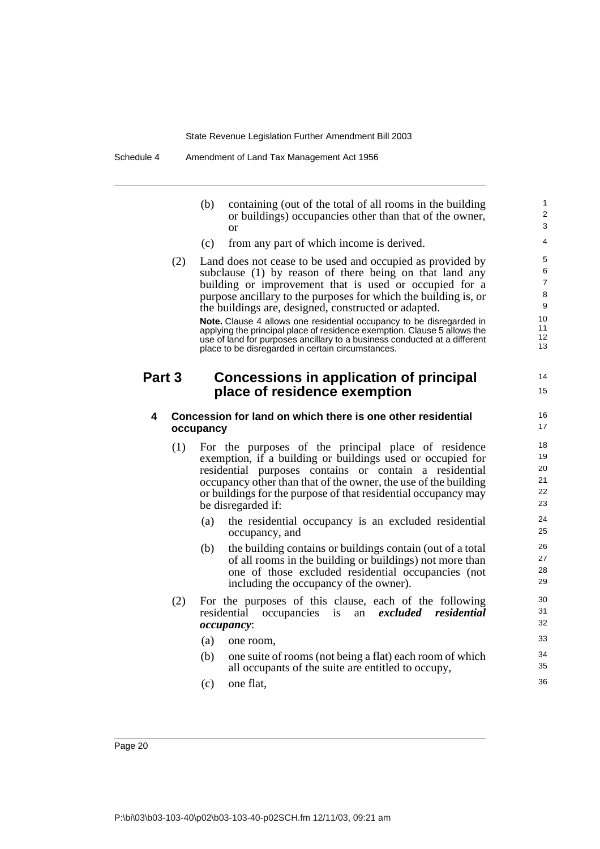|        |     | (b)<br>containing (out of the total of all rooms in the building<br>or buildings) occupancies other than that of the owner,<br><sub>or</sub>                                                                                                                                                                                            | 1<br>$\overline{2}$<br>3           |
|--------|-----|-----------------------------------------------------------------------------------------------------------------------------------------------------------------------------------------------------------------------------------------------------------------------------------------------------------------------------------------|------------------------------------|
|        |     | from any part of which income is derived.<br>(c)                                                                                                                                                                                                                                                                                        | 4                                  |
|        | (2) | Land does not cease to be used and occupied as provided by<br>subclause (1) by reason of there being on that land any<br>building or improvement that is used or occupied for a<br>purpose ancillary to the purposes for which the building is, or<br>the buildings are, designed, constructed or adapted.                              | 5<br>6<br>$\overline{7}$<br>8<br>9 |
|        |     | Note. Clause 4 allows one residential occupancy to be disregarded in<br>applying the principal place of residence exemption. Clause 5 allows the<br>use of land for purposes ancillary to a business conducted at a different<br>place to be disregarded in certain circumstances.                                                      | 10<br>11<br>12<br>13               |
| Part 3 |     | Concessions in application of principal                                                                                                                                                                                                                                                                                                 | 14                                 |
|        |     | place of residence exemption                                                                                                                                                                                                                                                                                                            | 15                                 |
| 4      |     | Concession for land on which there is one other residential<br>occupancy                                                                                                                                                                                                                                                                | 16<br>17                           |
|        | (1) | For the purposes of the principal place of residence<br>exemption, if a building or buildings used or occupied for<br>residential purposes contains or contain a residential<br>occupancy other than that of the owner, the use of the building<br>or buildings for the purpose of that residential occupancy may<br>be disregarded if: | 18<br>19<br>20<br>21<br>22<br>23   |
|        |     | the residential occupancy is an excluded residential<br>(a)<br>occupancy, and                                                                                                                                                                                                                                                           | 24<br>25                           |
|        |     | the building contains or buildings contain (out of a total<br>(b)<br>of all rooms in the building or buildings) not more than<br>one of those excluded residential occupancies (not<br>including the occupancy of the owner).                                                                                                           | 26<br>27<br>28<br>29               |
|        | (2) | For the purposes of this clause, each of the following<br>occupancies<br>excluded residential<br>residential<br>is<br>an<br>occupancy:                                                                                                                                                                                                  | 30<br>31<br>32                     |
|        |     | (a)<br>one room,                                                                                                                                                                                                                                                                                                                        | 33                                 |
|        |     | (b)<br>one suite of rooms (not being a flat) each room of which<br>all occupants of the suite are entitled to occupy,                                                                                                                                                                                                                   | 34<br>35                           |
|        |     | (c)<br>one flat,                                                                                                                                                                                                                                                                                                                        | 36                                 |
|        |     |                                                                                                                                                                                                                                                                                                                                         |                                    |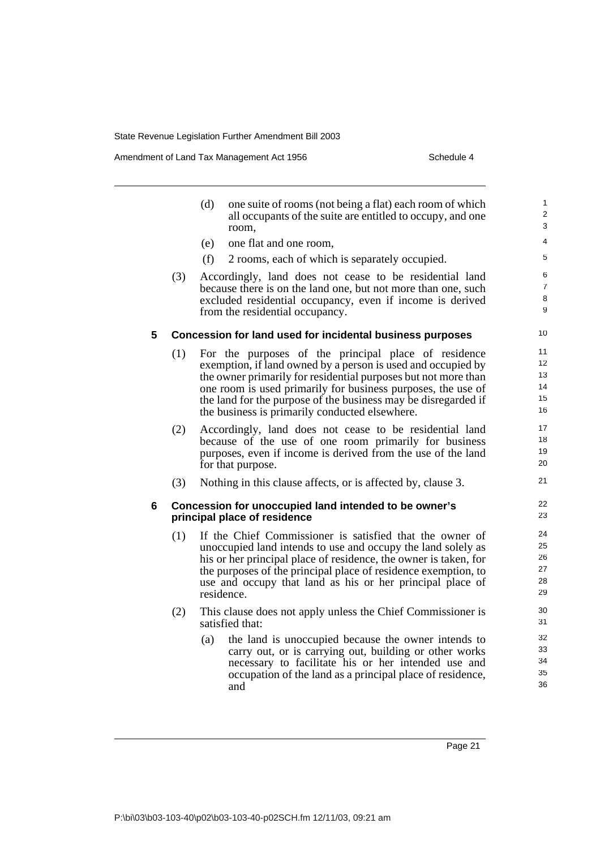Amendment of Land Tax Management Act 1956 Schedule 4

|   |     | (d) | one suite of rooms (not being a flat) each room of which<br>all occupants of the suite are entitled to occupy, and one<br>room, | 1<br>2<br>3     |
|---|-----|-----|---------------------------------------------------------------------------------------------------------------------------------|-----------------|
|   |     | (e) | one flat and one room,                                                                                                          | 4               |
|   |     | (f) | 2 rooms, each of which is separately occupied.                                                                                  | 5               |
|   | (3) |     | Accordingly, land does not cease to be residential land                                                                         | 6               |
|   |     |     | because there is on the land one, but not more than one, such                                                                   | $\overline{7}$  |
|   |     |     | excluded residential occupancy, even if income is derived<br>from the residential occupancy.                                    | 8<br>9          |
| 5 |     |     | Concession for land used for incidental business purposes                                                                       | 10              |
|   | (1) |     | For the purposes of the principal place of residence                                                                            | 11              |
|   |     |     | exemption, if land owned by a person is used and occupied by                                                                    | 12 <sup>2</sup> |
|   |     |     | the owner primarily for residential purposes but not more than                                                                  | 13<br>14        |
|   |     |     | one room is used primarily for business purposes, the use of<br>the land for the purpose of the business may be disregarded if  | 15              |
|   |     |     | the business is primarily conducted elsewhere.                                                                                  | 16              |
|   | (2) |     | Accordingly, land does not cease to be residential land                                                                         | 17              |
|   |     |     | because of the use of one room primarily for business                                                                           | 18              |
|   |     |     | purposes, even if income is derived from the use of the land<br>for that purpose.                                               | 19<br>20        |
|   | (3) |     | Nothing in this clause affects, or is affected by, clause 3.                                                                    | 21              |
| 6 |     |     | Concession for unoccupied land intended to be owner's<br>principal place of residence                                           | 22<br>23        |
|   | (1) |     | If the Chief Commissioner is satisfied that the owner of                                                                        | 24              |
|   |     |     | unoccupied land intends to use and occupy the land solely as                                                                    | 25              |
|   |     |     | his or her principal place of residence, the owner is taken, for                                                                | 26<br>27        |
|   |     |     | the purposes of the principal place of residence exemption, to<br>use and occupy that land as his or her principal place of     | 28              |
|   |     |     | residence.                                                                                                                      | 29              |
|   | (2) |     | This clause does not apply unless the Chief Commissioner is<br>satisfied that:                                                  | 30<br>31        |
|   |     | (a) | the land is unoccupied because the owner intends to                                                                             | 32              |
|   |     |     | carry out, or is carrying out, building or other works                                                                          | 33              |
|   |     |     | necessary to facilitate his or her intended use and                                                                             | 34<br>35        |
|   |     |     | occupation of the land as a principal place of residence,<br>and                                                                | 36              |
|   |     |     |                                                                                                                                 |                 |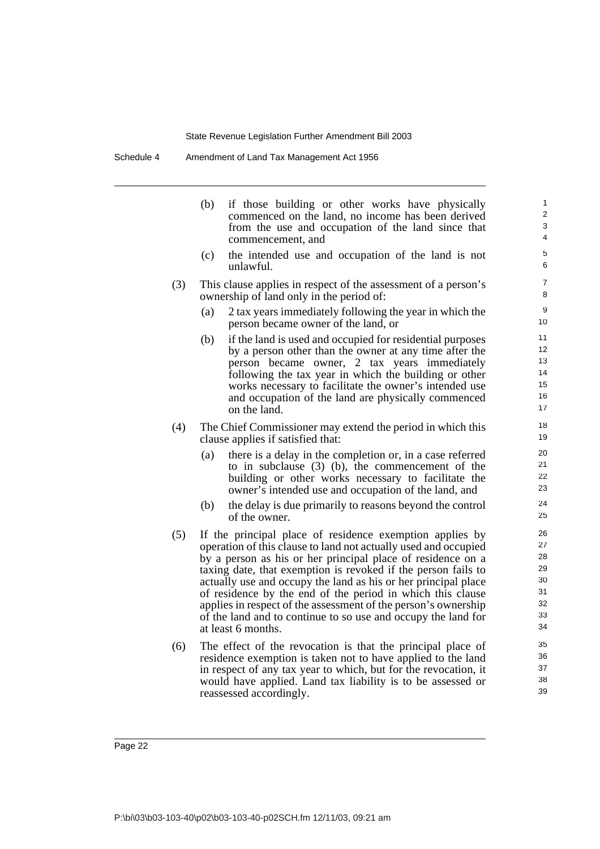Schedule 4 Amendment of Land Tax Management Act 1956

(b) if those building or other works have physically commenced on the land, no income has been derived from the use and occupation of the land since that commencement, and

- (c) the intended use and occupation of the land is not unlawful.
- (3) This clause applies in respect of the assessment of a person's ownership of land only in the period of:
	- (a) 2 tax years immediately following the year in which the person became owner of the land, or
	- (b) if the land is used and occupied for residential purposes by a person other than the owner at any time after the person became owner, 2 tax years immediately following the tax year in which the building or other works necessary to facilitate the owner's intended use and occupation of the land are physically commenced on the land.
- (4) The Chief Commissioner may extend the period in which this clause applies if satisfied that:
	- (a) there is a delay in the completion or, in a case referred to in subclause (3) (b), the commencement of the building or other works necessary to facilitate the owner's intended use and occupation of the land, and
	- (b) the delay is due primarily to reasons beyond the control of the owner.
- (5) If the principal place of residence exemption applies by operation of this clause to land not actually used and occupied by a person as his or her principal place of residence on a taxing date, that exemption is revoked if the person fails to actually use and occupy the land as his or her principal place of residence by the end of the period in which this clause applies in respect of the assessment of the person's ownership of the land and to continue to so use and occupy the land for at least 6 months.
- (6) The effect of the revocation is that the principal place of residence exemption is taken not to have applied to the land in respect of any tax year to which, but for the revocation, it would have applied. Land tax liability is to be assessed or reassessed accordingly.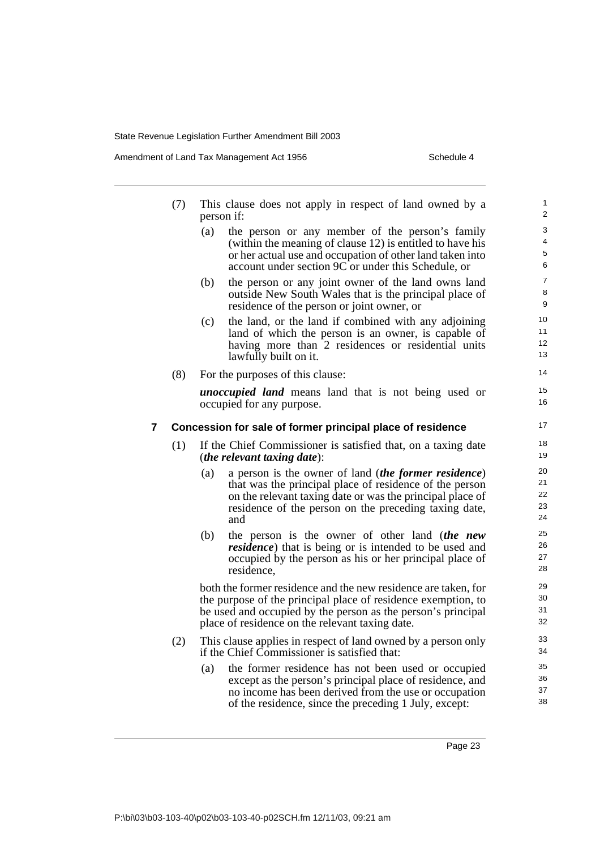Amendment of Land Tax Management Act 1956 Schedule 4

|   | (7) |     | This clause does not apply in respect of land owned by a<br>person if:                                                 | 1<br>2                |
|---|-----|-----|------------------------------------------------------------------------------------------------------------------------|-----------------------|
|   |     | (a) | the person or any member of the person's family                                                                        | 3<br>4                |
|   |     |     | (within the meaning of clause 12) is entitled to have his<br>or her actual use and occupation of other land taken into | 5                     |
|   |     |     | account under section $9C$ or under this Schedule, or                                                                  | 6                     |
|   |     | (b) | the person or any joint owner of the land owns land                                                                    | $\boldsymbol{7}$<br>8 |
|   |     |     | outside New South Wales that is the principal place of<br>residence of the person or joint owner, or                   | 9                     |
|   |     | (c) | the land, or the land if combined with any adjoining                                                                   | 10                    |
|   |     |     | land of which the person is an owner, is capable of                                                                    | 11                    |
|   |     |     | having more than 2 residences or residential units<br>lawfully built on it.                                            | 12<br>13              |
|   | (8) |     | For the purposes of this clause:                                                                                       | 14                    |
|   |     |     | <i>unoccupied land</i> means land that is not being used or<br>occupied for any purpose.                               | 15<br>16              |
| 7 |     |     | Concession for sale of former principal place of residence                                                             | 17                    |
|   | (1) |     | If the Chief Commissioner is satisfied that, on a taxing date<br>(the relevant taxing date):                           | 18<br>19              |
|   |     | (a) | a person is the owner of land <i>(the former residence)</i>                                                            | 20                    |
|   |     |     | that was the principal place of residence of the person                                                                | 21                    |
|   |     |     | on the relevant taxing date or was the principal place of<br>residence of the person on the preceding taxing date,     | 22<br>23              |
|   |     |     | and                                                                                                                    | 24                    |
|   |     | (b) | the person is the owner of other land (the new                                                                         | 25                    |
|   |     |     | <i>residence</i> ) that is being or is intended to be used and                                                         | 26<br>27              |
|   |     |     | occupied by the person as his or her principal place of<br>residence,                                                  | 28                    |
|   |     |     | both the former residence and the new residence are taken, for                                                         | 29                    |
|   |     |     | the purpose of the principal place of residence exemption, to                                                          | 30<br>31              |
|   |     |     | be used and occupied by the person as the person's principal<br>place of residence on the relevant taxing date.        | 32                    |
|   | (2) |     | This clause applies in respect of land owned by a person only                                                          | 33<br>34              |
|   |     |     | if the Chief Commissioner is satisfied that:                                                                           | 35                    |
|   |     | (a) | the former residence has not been used or occupied<br>except as the person's principal place of residence, and         | 36                    |
|   |     |     | no income has been derived from the use or occupation                                                                  | 37                    |
|   |     |     | of the residence, since the preceding 1 July, except:                                                                  | 38                    |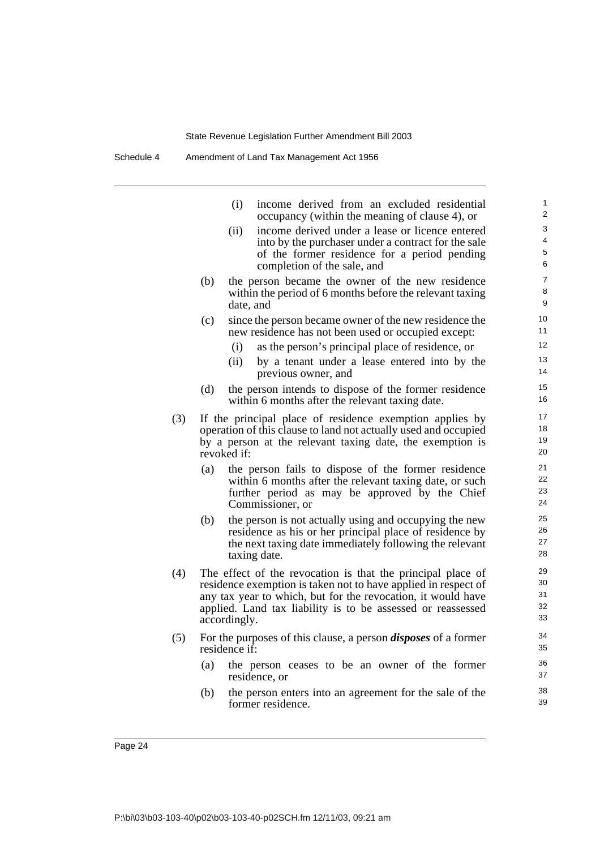|     |     | income derived from an excluded residential<br>(i)<br>occupancy (within the meaning of clause 4), or                                                                                                                                                                         | 1<br>2                     |
|-----|-----|------------------------------------------------------------------------------------------------------------------------------------------------------------------------------------------------------------------------------------------------------------------------------|----------------------------|
|     |     | income derived under a lease or licence entered<br>(ii)<br>into by the purchaser under a contract for the sale<br>of the former residence for a period pending<br>completion of the sale, and                                                                                | 3<br>4<br>5<br>6           |
|     | (b) | the person became the owner of the new residence<br>within the period of 6 months before the relevant taxing<br>date, and                                                                                                                                                    | 7<br>8<br>9                |
|     | (c) | since the person became owner of the new residence the<br>new residence has not been used or occupied except:                                                                                                                                                                | 10<br>11                   |
|     |     | (i)<br>as the person's principal place of residence, or                                                                                                                                                                                                                      | 12                         |
|     |     | (ii)<br>by a tenant under a lease entered into by the<br>previous owner, and                                                                                                                                                                                                 | 13<br>14                   |
|     | (d) | the person intends to dispose of the former residence<br>within 6 months after the relevant taxing date.                                                                                                                                                                     | 15<br>16                   |
| (3) |     | If the principal place of residence exemption applies by<br>operation of this clause to land not actually used and occupied<br>by a person at the relevant taxing date, the exemption is<br>revoked if:                                                                      | 17<br>18<br>19<br>20       |
|     | (a) | the person fails to dispose of the former residence<br>within 6 months after the relevant taxing date, or such<br>further period as may be approved by the Chief<br>Commissioner, or                                                                                         | 21<br>22<br>23<br>24       |
|     | (b) | the person is not actually using and occupying the new<br>residence as his or her principal place of residence by<br>the next taxing date immediately following the relevant<br>taxing date.                                                                                 | 25<br>26<br>27<br>28       |
| (4) |     | The effect of the revocation is that the principal place of<br>residence exemption is taken not to have applied in respect of<br>any tax year to which, but for the revocation, it would have<br>applied. Land tax liability is to be assessed or reassessed<br>accordingly. | 29<br>30<br>31<br>32<br>33 |
| (5) |     | For the purposes of this clause, a person <i>disposes</i> of a former<br>residence if:                                                                                                                                                                                       | 34<br>35                   |
|     | (a) | the person ceases to be an owner of the former<br>residence, or                                                                                                                                                                                                              | 36<br>37                   |
|     | (b) | the person enters into an agreement for the sale of the<br>former residence.                                                                                                                                                                                                 | 38<br>39                   |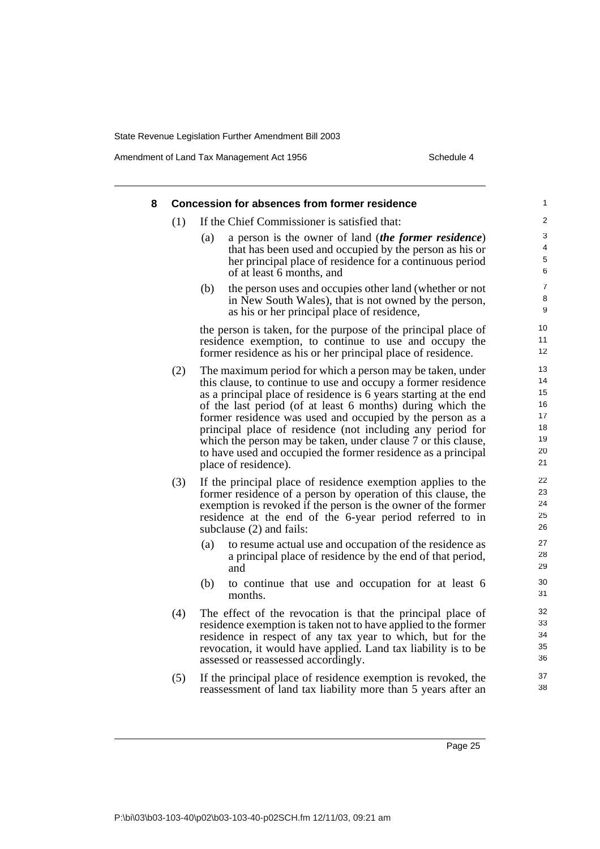Amendment of Land Tax Management Act 1956 Schedule 4

| 8 |     | Concession for absences from former residence                                                                                                                                                                                                                                                                                                                                                                                                                                                                                                     | 1                                                        |
|---|-----|---------------------------------------------------------------------------------------------------------------------------------------------------------------------------------------------------------------------------------------------------------------------------------------------------------------------------------------------------------------------------------------------------------------------------------------------------------------------------------------------------------------------------------------------------|----------------------------------------------------------|
|   | (1) | If the Chief Commissioner is satisfied that:                                                                                                                                                                                                                                                                                                                                                                                                                                                                                                      | 2                                                        |
|   |     | a person is the owner of land <i>(the former residence)</i><br>(a)<br>that has been used and occupied by the person as his or<br>her principal place of residence for a continuous period<br>of at least 6 months, and                                                                                                                                                                                                                                                                                                                            | 3<br>4<br>5<br>6                                         |
|   |     | the person uses and occupies other land (whether or not<br>(b)<br>in New South Wales), that is not owned by the person,<br>as his or her principal place of residence,                                                                                                                                                                                                                                                                                                                                                                            | 7<br>8<br>9                                              |
|   |     | the person is taken, for the purpose of the principal place of<br>residence exemption, to continue to use and occupy the<br>former residence as his or her principal place of residence.                                                                                                                                                                                                                                                                                                                                                          | 10<br>11<br>12                                           |
|   | (2) | The maximum period for which a person may be taken, under<br>this clause, to continue to use and occupy a former residence<br>as a principal place of residence is 6 years starting at the end<br>of the last period (of at least 6 months) during which the<br>former residence was used and occupied by the person as a<br>principal place of residence (not including any period for<br>which the person may be taken, under clause 7 or this clause,<br>to have used and occupied the former residence as a principal<br>place of residence). | 13<br>14<br>15<br>16<br>17<br>18<br>19<br>20<br>21       |
|   | (3) | If the principal place of residence exemption applies to the<br>former residence of a person by operation of this clause, the<br>exemption is revoked if the person is the owner of the former<br>residence at the end of the 6-year period referred to in<br>subclause (2) and fails:<br>to resume actual use and occupation of the residence as<br>(a)<br>a principal place of residence by the end of that period,<br>and<br>to continue that use and occupation for at least 6<br>(b)<br>months.                                              | 22<br>23<br>24<br>25<br>26<br>27<br>28<br>29<br>30<br>31 |
|   | (4) | The effect of the revocation is that the principal place of<br>residence exemption is taken not to have applied to the former<br>residence in respect of any tax year to which, but for the<br>revocation, it would have applied. Land tax liability is to be<br>assessed or reassessed accordingly.                                                                                                                                                                                                                                              | 32<br>33<br>34<br>35<br>36                               |
|   | (5) | If the principal place of residence exemption is revoked, the<br>reassessment of land tax liability more than 5 years after an                                                                                                                                                                                                                                                                                                                                                                                                                    | 37<br>38                                                 |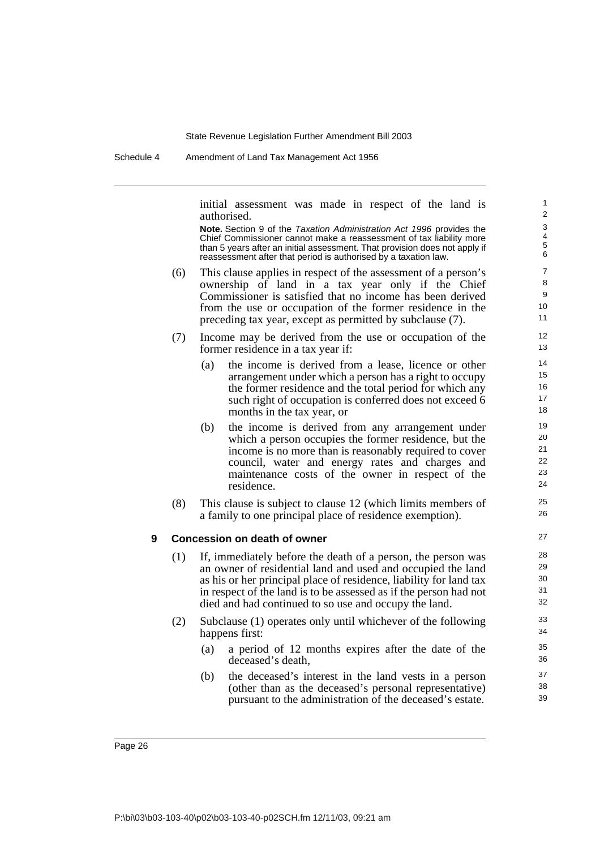initial assessment was made in respect of the land is authorised.

**Note.** Section 9 of the Taxation Administration Act 1996 provides the Chief Commissioner cannot make a reassessment of tax liability more than 5 years after an initial assessment. That provision does not apply if reassessment after that period is authorised by a taxation law.

- (6) This clause applies in respect of the assessment of a person's ownership of land in a tax year only if the Chief Commissioner is satisfied that no income has been derived from the use or occupation of the former residence in the preceding tax year, except as permitted by subclause (7).
- (7) Income may be derived from the use or occupation of the former residence in a tax year if:
	- (a) the income is derived from a lease, licence or other arrangement under which a person has a right to occupy the former residence and the total period for which any such right of occupation is conferred does not exceed 6 months in the tax year, or
	- (b) the income is derived from any arrangement under which a person occupies the former residence, but the income is no more than is reasonably required to cover council, water and energy rates and charges and maintenance costs of the owner in respect of the residence.
- (8) This clause is subject to clause 12 (which limits members of a family to one principal place of residence exemption).

#### **9 Concession on death of owner**

- (1) If, immediately before the death of a person, the person was an owner of residential land and used and occupied the land as his or her principal place of residence, liability for land tax in respect of the land is to be assessed as if the person had not died and had continued to so use and occupy the land.
- (2) Subclause (1) operates only until whichever of the following happens first:
	- (a) a period of 12 months expires after the date of the deceased's death,
	- (b) the deceased's interest in the land vests in a person (other than as the deceased's personal representative) pursuant to the administration of the deceased's estate.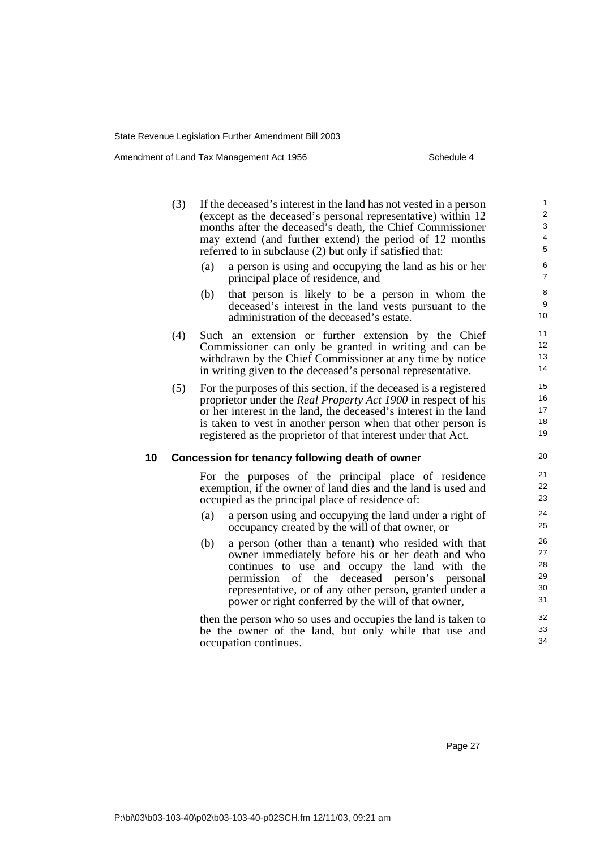Amendment of Land Tax Management Act 1956 Schedule 4

|    | (3) | If the deceased's interest in the land has not vested in a person<br>(except as the deceased's personal representative) within 12<br>months after the deceased's death, the Chief Commissioner<br>may extend (and further extend) the period of 12 months<br>referred to in subclause (2) but only if satisfied that:<br>a person is using and occupying the land as his or her<br>(a)<br>principal place of residence, and<br>(b)<br>that person is likely to be a person in whom the<br>deceased's interest in the land vests pursuant to the<br>administration of the deceased's estate. | $\mathbf 1$<br>$\overline{a}$<br>3<br>4<br>5<br>6<br>$\overline{7}$<br>8<br>9<br>10 |
|----|-----|---------------------------------------------------------------------------------------------------------------------------------------------------------------------------------------------------------------------------------------------------------------------------------------------------------------------------------------------------------------------------------------------------------------------------------------------------------------------------------------------------------------------------------------------------------------------------------------------|-------------------------------------------------------------------------------------|
|    | (4) | Such an extension or further extension by the Chief<br>Commissioner can only be granted in writing and can be<br>withdrawn by the Chief Commissioner at any time by notice<br>in writing given to the deceased's personal representative.                                                                                                                                                                                                                                                                                                                                                   | 11<br>12<br>13<br>14                                                                |
|    | (5) | For the purposes of this section, if the deceased is a registered<br>proprietor under the <i>Real Property Act 1900</i> in respect of his<br>or her interest in the land, the deceased's interest in the land<br>is taken to vest in another person when that other person is<br>registered as the proprietor of that interest under that Act.                                                                                                                                                                                                                                              | 15<br>16<br>17<br>18<br>19                                                          |
| 10 |     | Concession for tenancy following death of owner                                                                                                                                                                                                                                                                                                                                                                                                                                                                                                                                             | 20                                                                                  |
|    |     | For the purposes of the principal place of residence<br>exemption, if the owner of land dies and the land is used and<br>occupied as the principal place of residence of:                                                                                                                                                                                                                                                                                                                                                                                                                   | 21<br>22<br>23                                                                      |
|    |     | a person using and occupying the land under a right of<br>(a)<br>occupancy created by the will of that owner, or                                                                                                                                                                                                                                                                                                                                                                                                                                                                            | 24<br>25                                                                            |
|    |     | (b)<br>a person (other than a tenant) who resided with that<br>owner immediately before his or her death and who<br>continues to use and occupy the land with the<br>permission of the deceased person's personal<br>representative, or of any other person, granted under a<br>power or right conferred by the will of that owner,                                                                                                                                                                                                                                                         | 26<br>27<br>28<br>29<br>30<br>31                                                    |
|    |     | then the person who so uses and occupies the land is taken to<br>be the owner of the land, but only while that use and<br>occupation continues.                                                                                                                                                                                                                                                                                                                                                                                                                                             | 32<br>33<br>34                                                                      |
|    |     |                                                                                                                                                                                                                                                                                                                                                                                                                                                                                                                                                                                             |                                                                                     |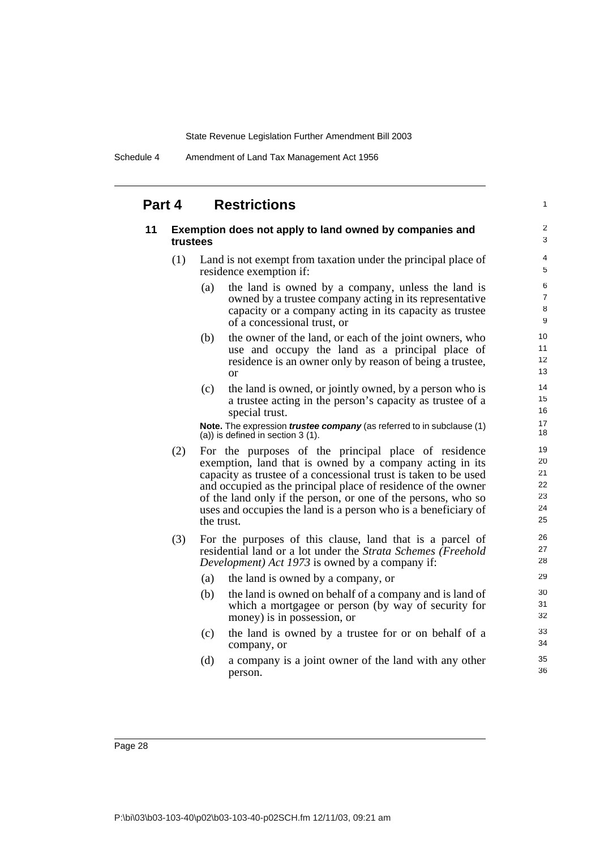| Part 4 |     | <b>Restrictions</b>                                                                                                                                                                                                                                                                                                                                                                                   | 1                                      |
|--------|-----|-------------------------------------------------------------------------------------------------------------------------------------------------------------------------------------------------------------------------------------------------------------------------------------------------------------------------------------------------------------------------------------------------------|----------------------------------------|
| 11     |     | Exemption does not apply to land owned by companies and<br>trustees                                                                                                                                                                                                                                                                                                                                   | 2<br>3                                 |
|        | (1) | Land is not exempt from taxation under the principal place of<br>residence exemption if:                                                                                                                                                                                                                                                                                                              | 4<br>5                                 |
|        |     | the land is owned by a company, unless the land is<br>(a)<br>owned by a trustee company acting in its representative<br>capacity or a company acting in its capacity as trustee<br>of a concessional trust, or                                                                                                                                                                                        | 6<br>$\overline{7}$<br>8<br>9          |
|        |     | the owner of the land, or each of the joint owners, who<br>(b)<br>use and occupy the land as a principal place of<br>residence is an owner only by reason of being a trustee,<br><b>or</b>                                                                                                                                                                                                            | 10<br>11<br>12<br>13                   |
|        |     | the land is owned, or jointly owned, by a person who is<br>(c)<br>a trustee acting in the person's capacity as trustee of a<br>special trust.                                                                                                                                                                                                                                                         | 14<br>15<br>16                         |
|        |     | Note. The expression <i>trustee company</i> (as referred to in subclause (1)<br>(a)) is defined in section 3 (1).                                                                                                                                                                                                                                                                                     | 17<br>18                               |
|        | (2) | For the purposes of the principal place of residence<br>exemption, land that is owned by a company acting in its<br>capacity as trustee of a concessional trust is taken to be used<br>and occupied as the principal place of residence of the owner<br>of the land only if the person, or one of the persons, who so<br>uses and occupies the land is a person who is a beneficiary of<br>the trust. | 19<br>20<br>21<br>22<br>23<br>24<br>25 |
|        | (3) | For the purposes of this clause, land that is a parcel of<br>residential land or a lot under the Strata Schemes (Freehold<br>Development) Act 1973 is owned by a company if:                                                                                                                                                                                                                          | 26<br>27<br>28                         |
|        |     | (a)<br>the land is owned by a company, or                                                                                                                                                                                                                                                                                                                                                             | 29                                     |
|        |     | the land is owned on behalf of a company and is land of<br>(b)<br>which a mortgagee or person (by way of security for<br>money) is in possession, or                                                                                                                                                                                                                                                  | 30<br>31<br>32                         |
|        |     | (c)<br>the land is owned by a trustee for or on behalf of a<br>company, or                                                                                                                                                                                                                                                                                                                            | 33<br>34                               |
|        |     | (d)<br>a company is a joint owner of the land with any other<br>person.                                                                                                                                                                                                                                                                                                                               | 35<br>36                               |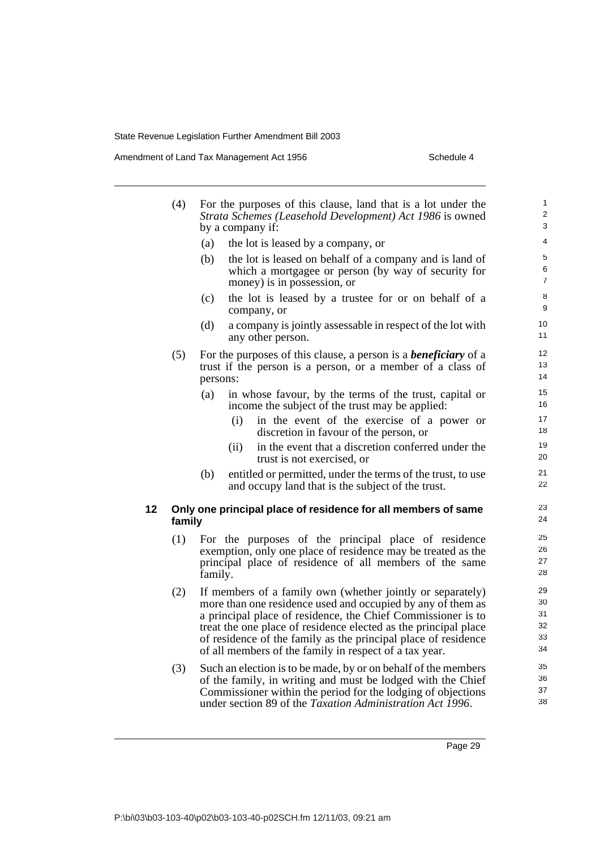Amendment of Land Tax Management Act 1956 Schedule 4

|                 | (4)    |          | For the purposes of this clause, land that is a lot under the<br>Strata Schemes (Leasehold Development) Act 1986 is owned<br>by a company if:                                                                                                                                                                                                                                            | 1<br>2<br>3                      |
|-----------------|--------|----------|------------------------------------------------------------------------------------------------------------------------------------------------------------------------------------------------------------------------------------------------------------------------------------------------------------------------------------------------------------------------------------------|----------------------------------|
|                 |        | (a)      | the lot is leased by a company, or                                                                                                                                                                                                                                                                                                                                                       | 4                                |
|                 |        | (b)      | the lot is leased on behalf of a company and is land of<br>which a mortgagee or person (by way of security for<br>money) is in possession, or                                                                                                                                                                                                                                            | 5<br>6<br>$\overline{7}$         |
|                 |        | (c)      | the lot is leased by a trustee for or on behalf of a<br>company, or                                                                                                                                                                                                                                                                                                                      | 8<br>9                           |
|                 |        | (d)      | a company is jointly assessable in respect of the lot with<br>any other person.                                                                                                                                                                                                                                                                                                          | 10<br>11                         |
|                 | (5)    | persons: | For the purposes of this clause, a person is a <b><i>beneficiary</i></b> of a<br>trust if the person is a person, or a member of a class of                                                                                                                                                                                                                                              | 12<br>13<br>14                   |
|                 |        | (a)      | in whose favour, by the terms of the trust, capital or<br>income the subject of the trust may be applied:                                                                                                                                                                                                                                                                                | 15<br>16                         |
|                 |        |          | (i)<br>in the event of the exercise of a power or<br>discretion in favour of the person, or                                                                                                                                                                                                                                                                                              | 17<br>18                         |
|                 |        |          | in the event that a discretion conferred under the<br>(ii)<br>trust is not exercised, or                                                                                                                                                                                                                                                                                                 | 19<br>20                         |
|                 |        | (b)      | entitled or permitted, under the terms of the trust, to use<br>and occupy land that is the subject of the trust.                                                                                                                                                                                                                                                                         | 21<br>22                         |
| 12 <sub>2</sub> | family |          | Only one principal place of residence for all members of same                                                                                                                                                                                                                                                                                                                            | 23<br>24                         |
|                 | (1)    | family.  | For the purposes of the principal place of residence<br>exemption, only one place of residence may be treated as the<br>principal place of residence of all members of the same                                                                                                                                                                                                          | 25<br>26<br>27<br>28             |
|                 | (2)    |          | If members of a family own (whether jointly or separately)<br>more than one residence used and occupied by any of them as<br>a principal place of residence, the Chief Commissioner is to<br>treat the one place of residence elected as the principal place<br>of residence of the family as the principal place of residence<br>of all members of the family in respect of a tax year. | 29<br>30<br>31<br>32<br>33<br>34 |
|                 | (3)    |          | Such an election is to be made, by or on behalf of the members<br>of the family, in writing and must be lodged with the Chief<br>Commissioner within the period for the lodging of objections<br>under section 89 of the Taxation Administration Act 1996.                                                                                                                               | 35<br>36<br>37<br>38             |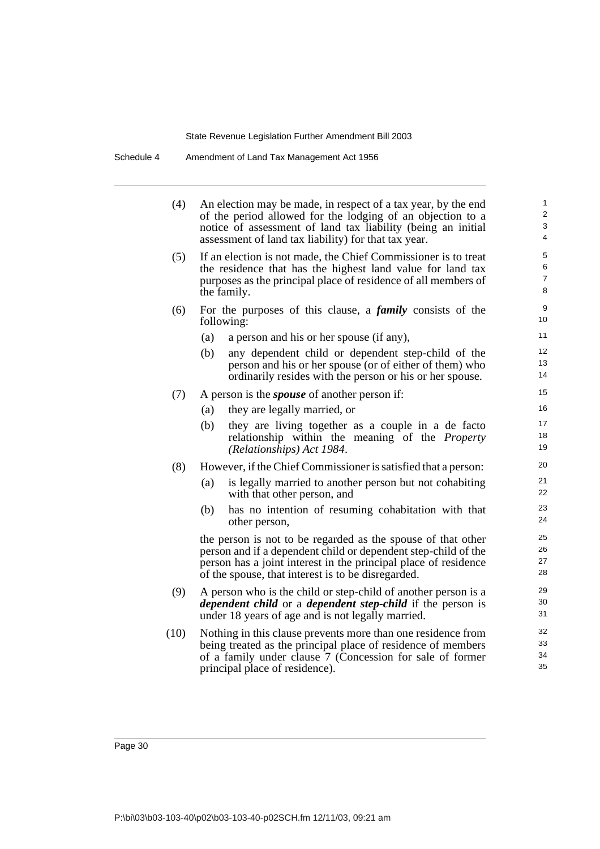Schedule 4 Amendment of Land Tax Management Act 1956

| (4)  | An election may be made, in respect of a tax year, by the end<br>of the period allowed for the lodging of an objection to a<br>notice of assessment of land tax liability (being an initial<br>assessment of land tax liability) for that tax year. | 1<br>$\overline{2}$<br>3<br>$\overline{4}$                                                                                                                                                                                                              |                               |
|------|-----------------------------------------------------------------------------------------------------------------------------------------------------------------------------------------------------------------------------------------------------|---------------------------------------------------------------------------------------------------------------------------------------------------------------------------------------------------------------------------------------------------------|-------------------------------|
| (5)  |                                                                                                                                                                                                                                                     | If an election is not made, the Chief Commissioner is to treat<br>the residence that has the highest land value for land tax<br>purposes as the principal place of residence of all members of<br>the family.                                           | 5<br>6<br>$\overline{7}$<br>8 |
| (6)  |                                                                                                                                                                                                                                                     | For the purposes of this clause, a <i>family</i> consists of the<br>following:                                                                                                                                                                          | 9<br>10                       |
|      | (a)                                                                                                                                                                                                                                                 | a person and his or her spouse (if any),                                                                                                                                                                                                                | 11                            |
|      | (b)                                                                                                                                                                                                                                                 | any dependent child or dependent step-child of the<br>person and his or her spouse (or of either of them) who<br>ordinarily resides with the person or his or her spouse.                                                                               | 12<br>13<br>14                |
| (7)  |                                                                                                                                                                                                                                                     | A person is the <i>spouse</i> of another person if:                                                                                                                                                                                                     | 15                            |
|      | (a)                                                                                                                                                                                                                                                 | they are legally married, or                                                                                                                                                                                                                            | 16                            |
|      | (b)                                                                                                                                                                                                                                                 | they are living together as a couple in a de facto<br>relationship within the meaning of the <i>Property</i><br>(Relationships) Act 1984.                                                                                                               | 17<br>18<br>19                |
| (8)  |                                                                                                                                                                                                                                                     | However, if the Chief Commissioner is satisfied that a person:                                                                                                                                                                                          | 20                            |
|      | (a)                                                                                                                                                                                                                                                 | is legally married to another person but not cohabiting<br>with that other person, and                                                                                                                                                                  | 21<br>22                      |
|      | (b)                                                                                                                                                                                                                                                 | has no intention of resuming cohabitation with that<br>other person,                                                                                                                                                                                    | 23<br>24                      |
|      |                                                                                                                                                                                                                                                     | the person is not to be regarded as the spouse of that other<br>person and if a dependent child or dependent step-child of the<br>person has a joint interest in the principal place of residence<br>of the spouse, that interest is to be disregarded. | 25<br>26<br>27<br>28          |
| (9)  |                                                                                                                                                                                                                                                     | A person who is the child or step-child of another person is a<br><i>dependent child</i> or a <i>dependent step-child</i> if the person is<br>under 18 years of age and is not legally married.                                                         | 29<br>30<br>31                |
| (10) |                                                                                                                                                                                                                                                     | Nothing in this clause prevents more than one residence from<br>being treated as the principal place of residence of members<br>of a family under clause 7 (Concession for sale of former<br>principal place of residence).                             | 32<br>33<br>34<br>35          |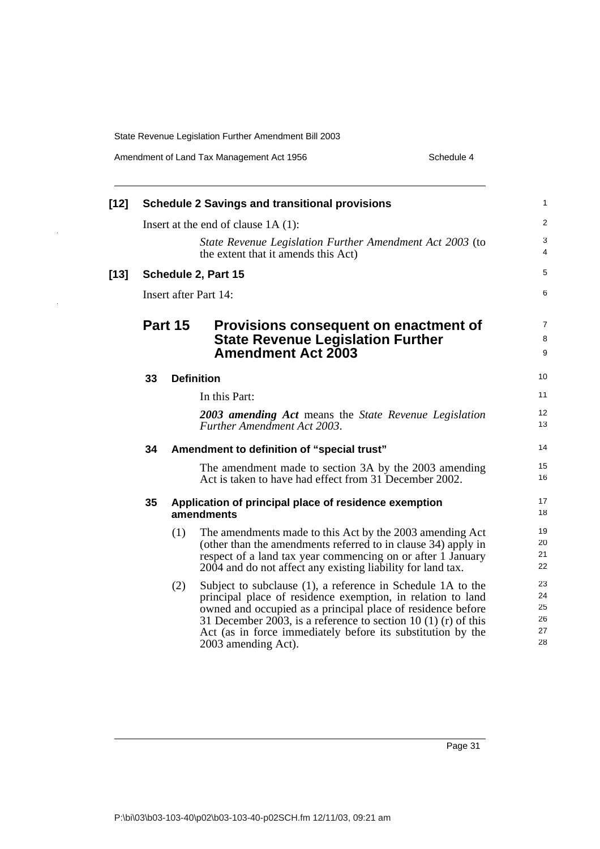| Schedule 4<br>Amendment of Land Tax Management Act 1956 |
|---------------------------------------------------------|
|---------------------------------------------------------|

**[12] Schedule 2 Savings and transitional provisions** Insert at the end of clause 1A (1): *State Revenue Legislation Further Amendment Act 2003* (to the extent that it amends this Act) **[13] Schedule 2, Part 15** Insert after Part 14: **Part 15 Provisions consequent on enactment of State Revenue Legislation Further Amendment Act 2003 33 Definition** In this Part: *2003 amending Act* means the *State Revenue Legislation Further Amendment Act 2003*. **34 Amendment to definition of "special trust"** The amendment made to section 3A by the 2003 amending Act is taken to have had effect from 31 December 2002. **35 Application of principal place of residence exemption amendments** (1) The amendments made to this Act by the 2003 amending Act (other than the amendments referred to in clause 34) apply in respect of a land tax year commencing on or after 1 January 2004 and do not affect any existing liability for land tax. (2) Subject to subclause (1), a reference in Schedule 1A to the principal place of residence exemption, in relation to land owned and occupied as a principal place of residence before 31 December 2003, is a reference to section 10 (1) (r) of this Act (as in force immediately before its substitution by the 1  $\mathfrak{p}$ 3 4 5 6 7 8 9 10 11 12 13 14 15 16 17 18 19 20 21 22 23 24 25  $26$ 27

Page 31

28

2003 amending Act).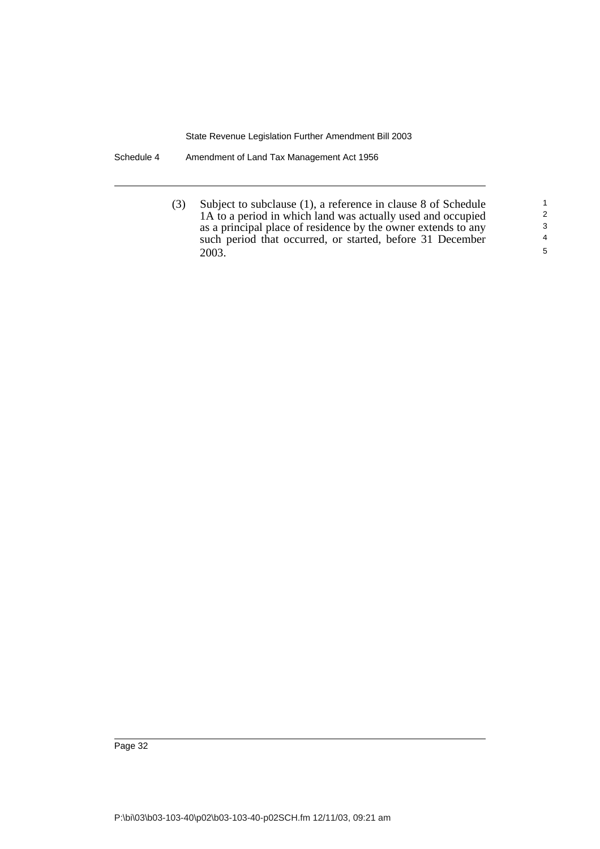Schedule 4 Amendment of Land Tax Management Act 1956

(3) Subject to subclause (1), a reference in clause 8 of Schedule 1A to a period in which land was actually used and occupied as a principal place of residence by the owner extends to any such period that occurred, or started, before 31 December 2003.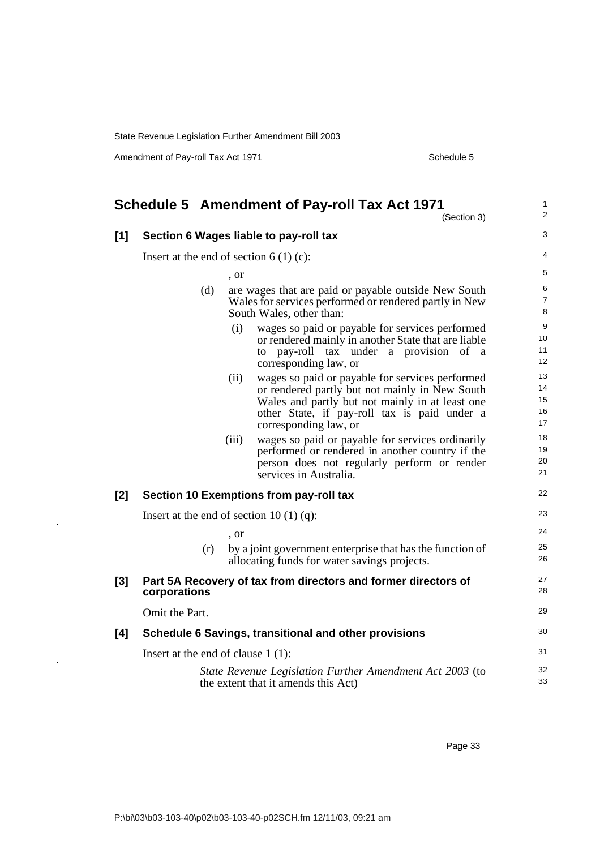Amendment of Pay-roll Tax Act 1971 Schedule 5

 $\ddot{\phantom{0}}$ 

<span id="page-44-0"></span>

|       | <b>Schedule 5 Amendment of Pay-roll Tax Act 1971</b><br>(Section 3)                                                                                                                                                                   | $\mathbf 1$<br>$\overline{c}$ |
|-------|---------------------------------------------------------------------------------------------------------------------------------------------------------------------------------------------------------------------------------------|-------------------------------|
| [1]   | Section 6 Wages liable to pay-roll tax                                                                                                                                                                                                | 3                             |
|       | Insert at the end of section $6(1)(c)$ :                                                                                                                                                                                              | 4                             |
|       | , or                                                                                                                                                                                                                                  | 5                             |
|       | (d)<br>are wages that are paid or payable outside New South<br>Wales for services performed or rendered partly in New<br>South Wales, other than:                                                                                     | 6<br>$\overline{7}$<br>8      |
|       | (i)<br>wages so paid or payable for services performed<br>or rendered mainly in another State that are liable<br>to pay-roll tax under a provision of a<br>corresponding law, or                                                      | 9<br>10<br>11<br>12           |
|       | wages so paid or payable for services performed<br>(ii)<br>or rendered partly but not mainly in New South<br>Wales and partly but not mainly in at least one<br>other State, if pay-roll tax is paid under a<br>corresponding law, or | 13<br>14<br>15<br>16<br>17    |
|       | wages so paid or payable for services ordinarily<br>(iii)<br>performed or rendered in another country if the<br>person does not regularly perform or render<br>services in Australia.                                                 | 18<br>19<br>20<br>21          |
| [2]   | Section 10 Exemptions from pay-roll tax                                                                                                                                                                                               | 22                            |
|       | Insert at the end of section 10 $(1)$ $(q)$ :                                                                                                                                                                                         | 23                            |
|       | , or                                                                                                                                                                                                                                  | 24                            |
|       | by a joint government enterprise that has the function of<br>(r)<br>allocating funds for water savings projects.                                                                                                                      | 25<br>26                      |
| $[3]$ | Part 5A Recovery of tax from directors and former directors of<br>corporations                                                                                                                                                        | 27<br>28                      |
|       | Omit the Part.                                                                                                                                                                                                                        | 29                            |
| [4]   | Schedule 6 Savings, transitional and other provisions                                                                                                                                                                                 | 30                            |
|       | Insert at the end of clause $1(1)$ :                                                                                                                                                                                                  | 31                            |
|       | State Revenue Legislation Further Amendment Act 2003 (to<br>the extent that it amends this Act)                                                                                                                                       | 32<br>33                      |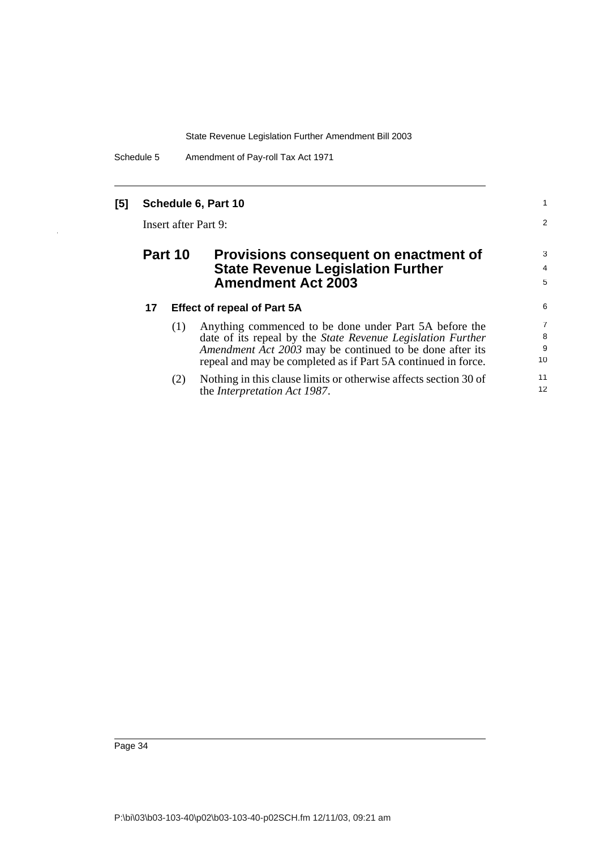Schedule 5 Amendment of Pay-roll Tax Act 1971

| [5] | Schedule 6, Part 10<br><b>Insert after Part 9:</b> |         | $\overline{2}$                                                                                                                                                                                                                                            |                                |
|-----|----------------------------------------------------|---------|-----------------------------------------------------------------------------------------------------------------------------------------------------------------------------------------------------------------------------------------------------------|--------------------------------|
|     |                                                    | Part 10 | Provisions consequent on enactment of<br><b>State Revenue Legislation Further</b><br><b>Amendment Act 2003</b>                                                                                                                                            | 3<br>$\overline{4}$<br>5       |
|     | 17                                                 |         | <b>Effect of repeal of Part 5A</b>                                                                                                                                                                                                                        | 6                              |
|     |                                                    | (1)     | Anything commenced to be done under Part 5A before the<br>date of its repeal by the <i>State Revenue Legislation Further</i><br>Amendment Act 2003 may be continued to be done after its<br>repeal and may be completed as if Part 5A continued in force. | $\overline{7}$<br>8<br>9<br>10 |
|     |                                                    | (2)     | Nothing in this clause limits or otherwise affects section 30 of<br>the <i>Interpretation</i> Act 1987.                                                                                                                                                   | 11<br>12                       |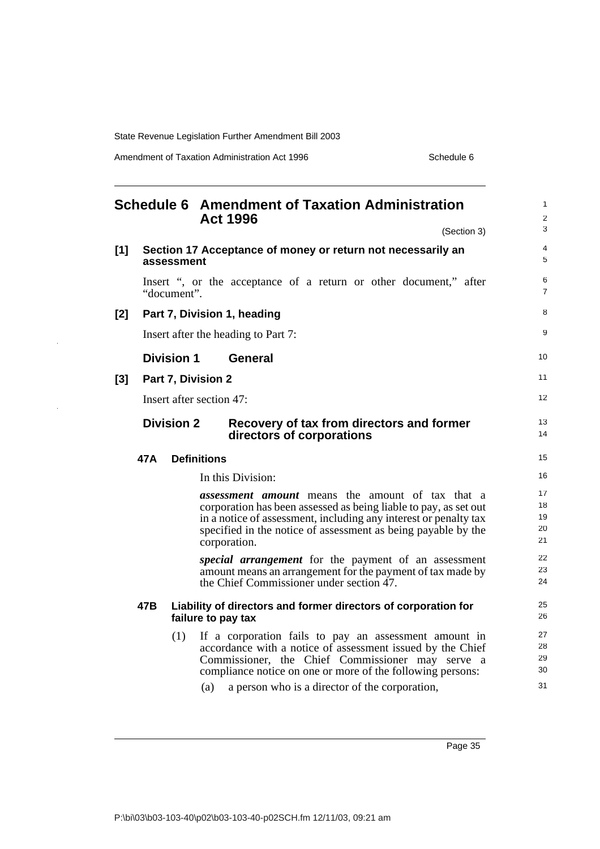Amendment of Taxation Administration Act 1996 Schedule 6

<span id="page-46-0"></span>

| 1<br>$\overline{\mathbf{c}}$<br>3 | <b>Schedule 6 Amendment of Taxation Administration</b><br><b>Act 1996</b>                                                                                                                                                                                                        |
|-----------------------------------|----------------------------------------------------------------------------------------------------------------------------------------------------------------------------------------------------------------------------------------------------------------------------------|
|                                   |                                                                                                                                                                                                                                                                                  |
| 4<br>5                            | [1]<br>Section 17 Acceptance of money or return not necessarily an<br>assessment                                                                                                                                                                                                 |
| 6<br>$\overline{7}$               | Insert ", or the acceptance of a return or other document," after<br>"document".                                                                                                                                                                                                 |
| 8                                 | Part 7, Division 1, heading<br>$[2]$                                                                                                                                                                                                                                             |
| 9                                 | Insert after the heading to Part 7:                                                                                                                                                                                                                                              |
| 10                                | <b>Division 1</b><br>General                                                                                                                                                                                                                                                     |
| 11                                | Part 7, Division 2<br>$[3]$                                                                                                                                                                                                                                                      |
| 12                                | Insert after section 47:                                                                                                                                                                                                                                                         |
| 13<br>14                          | <b>Division 2</b><br>Recovery of tax from directors and former<br>directors of corporations                                                                                                                                                                                      |
| 15                                | <b>Definitions</b><br>47 A                                                                                                                                                                                                                                                       |
| 16                                | In this Division:                                                                                                                                                                                                                                                                |
| 17<br>18<br>19<br>20<br>21        | <b>assessment amount</b> means the amount of tax that a<br>corporation has been assessed as being liable to pay, as set out<br>in a notice of assessment, including any interest or penalty tax<br>specified in the notice of assessment as being payable by the<br>corporation. |
| 22<br>23<br>24                    | special arrangement for the payment of an assessment<br>amount means an arrangement for the payment of tax made by<br>the Chief Commissioner under section 47.                                                                                                                   |
| 25<br>26                          | 47B<br>Liability of directors and former directors of corporation for<br>failure to pay tax                                                                                                                                                                                      |
| 27<br>28<br>29<br>30<br>31        | (1)<br>If a corporation fails to pay an assessment amount in<br>accordance with a notice of assessment issued by the Chief<br>Commissioner, the Chief Commissioner may serve a<br>compliance notice on one or more of the following persons:                                     |
|                                   | a person who is a director of the corporation,<br>(a)                                                                                                                                                                                                                            |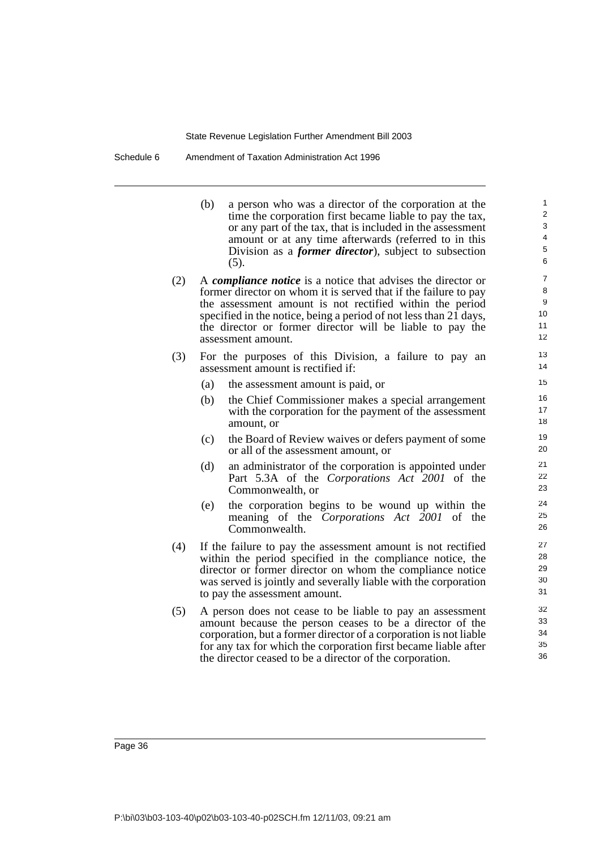Schedule 6 Amendment of Taxation Administration Act 1996

(b) a person who was a director of the corporation at the time the corporation first became liable to pay the tax, or any part of the tax, that is included in the assessment amount or at any time afterwards (referred to in this Division as a *former director*), subject to subsection (5).

- (2) A *compliance notice* is a notice that advises the director or former director on whom it is served that if the failure to pay the assessment amount is not rectified within the period specified in the notice, being a period of not less than 21 days, the director or former director will be liable to pay the assessment amount.
- (3) For the purposes of this Division, a failure to pay an assessment amount is rectified if:
	- (a) the assessment amount is paid, or
	- (b) the Chief Commissioner makes a special arrangement with the corporation for the payment of the assessment amount, or
	- (c) the Board of Review waives or defers payment of some or all of the assessment amount, or
	- (d) an administrator of the corporation is appointed under Part 5.3A of the *Corporations Act 2001* of the Commonwealth, or
	- (e) the corporation begins to be wound up within the meaning of the *Corporations Act 2001* of the Commonwealth.
- (4) If the failure to pay the assessment amount is not rectified within the period specified in the compliance notice, the director or former director on whom the compliance notice was served is jointly and severally liable with the corporation to pay the assessment amount.
- (5) A person does not cease to be liable to pay an assessment amount because the person ceases to be a director of the corporation, but a former director of a corporation is not liable for any tax for which the corporation first became liable after the director ceased to be a director of the corporation.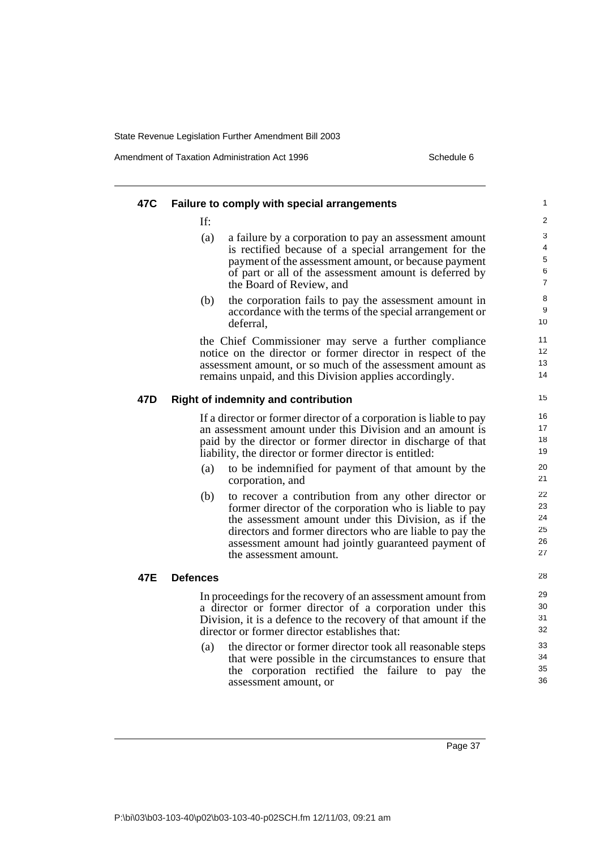Amendment of Taxation Administration Act 1996 Schedule 6

| 47C | Failure to comply with special arrangements                                                                                                                                                                                                                                                                                 |  |
|-----|-----------------------------------------------------------------------------------------------------------------------------------------------------------------------------------------------------------------------------------------------------------------------------------------------------------------------------|--|
|     | If:                                                                                                                                                                                                                                                                                                                         |  |
|     | (a)<br>a failure by a corporation to pay an assessment amount<br>is rectified because of a special arrangement for the<br>payment of the assessment amount, or because payment<br>of part or all of the assessment amount is deferred by<br>the Board of Review, and                                                        |  |
|     | the corporation fails to pay the assessment amount in<br>(b)<br>accordance with the terms of the special arrangement or<br>deferral,                                                                                                                                                                                        |  |
|     | the Chief Commissioner may serve a further compliance<br>notice on the director or former director in respect of the<br>assessment amount, or so much of the assessment amount as<br>remains unpaid, and this Division applies accordingly.                                                                                 |  |
| 47D | <b>Right of indemnity and contribution</b>                                                                                                                                                                                                                                                                                  |  |
|     | If a director or former director of a corporation is liable to pay<br>an assessment amount under this Division and an amount is<br>paid by the director or former director in discharge of that<br>liability, the director or former director is entitled:                                                                  |  |
|     | to be indemnified for payment of that amount by the<br>(a)<br>corporation, and                                                                                                                                                                                                                                              |  |
|     | to recover a contribution from any other director or<br>(b)<br>former director of the corporation who is liable to pay<br>the assessment amount under this Division, as if the<br>directors and former directors who are liable to pay the<br>assessment amount had jointly guaranteed payment of<br>the assessment amount. |  |
| 47E | <b>Defences</b>                                                                                                                                                                                                                                                                                                             |  |
|     | In proceedings for the recovery of an assessment amount from<br>a director or former director of a corporation under this<br>Division, it is a defence to the recovery of that amount if the<br>director or former director establishes that:                                                                               |  |
|     | the director or former director took all reasonable steps<br>(a)<br>that were possible in the circumstances to ensure that<br>the corporation rectified the failure to pay the<br>assessment amount, or                                                                                                                     |  |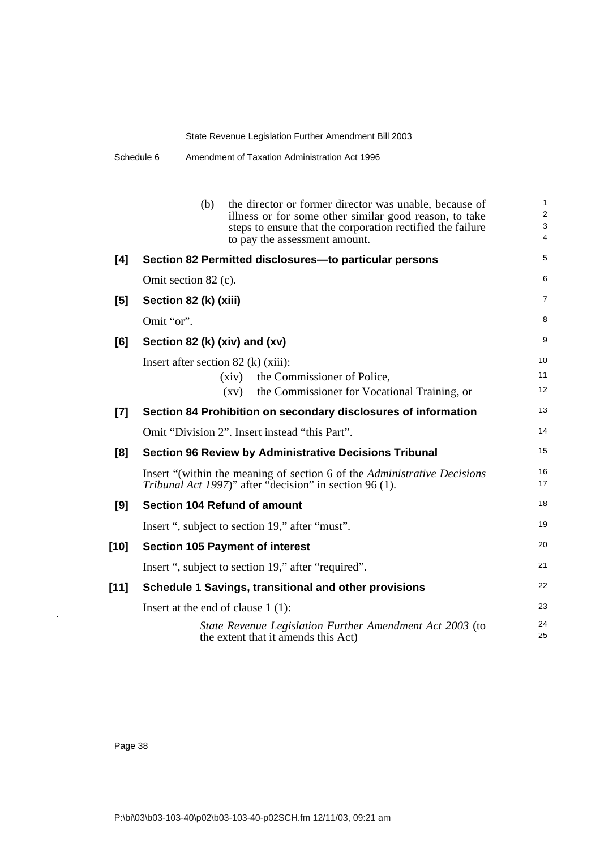| Schedule 6 | Amendment of Taxation Administration Act 1996 |  |
|------------|-----------------------------------------------|--|
|------------|-----------------------------------------------|--|

|        | the director or former director was unable, because of<br>(b)<br>illness or for some other similar good reason, to take<br>steps to ensure that the corporation rectified the failure<br>to pay the assessment amount. | $\mathbf{1}$<br>$\overline{2}$<br>$\mathbf{3}$<br>4 |
|--------|------------------------------------------------------------------------------------------------------------------------------------------------------------------------------------------------------------------------|-----------------------------------------------------|
| [4]    | Section 82 Permitted disclosures-to particular persons                                                                                                                                                                 | 5                                                   |
|        | Omit section 82 (c).                                                                                                                                                                                                   | 6                                                   |
| [5]    | Section 82 (k) (xiii)                                                                                                                                                                                                  | $\overline{7}$                                      |
|        | Omit "or".                                                                                                                                                                                                             | 8                                                   |
| [6]    | Section 82 (k) (xiv) and (xv)                                                                                                                                                                                          | 9                                                   |
|        | Insert after section $82$ (k) (xiii):                                                                                                                                                                                  | 10                                                  |
|        | the Commissioner of Police,<br>(xiv)                                                                                                                                                                                   | 11                                                  |
|        | the Commissioner for Vocational Training, or<br>$\left( xy\right)$                                                                                                                                                     | 12                                                  |
| [7]    | Section 84 Prohibition on secondary disclosures of information                                                                                                                                                         | 13                                                  |
|        | Omit "Division 2". Insert instead "this Part".                                                                                                                                                                         | 14                                                  |
| [8]    | <b>Section 96 Review by Administrative Decisions Tribunal</b>                                                                                                                                                          | 15                                                  |
|        | Insert "(within the meaning of section 6 of the <i>Administrative Decisions</i><br><i>Tribunal Act 1997</i> )" after "decision" in section 96 (1).                                                                     | 16<br>17                                            |
| [9]    | <b>Section 104 Refund of amount</b>                                                                                                                                                                                    | 18                                                  |
|        | Insert ", subject to section 19," after "must".                                                                                                                                                                        | 19                                                  |
| $[10]$ | <b>Section 105 Payment of interest</b>                                                                                                                                                                                 | 20                                                  |
|        | Insert ", subject to section 19," after "required".                                                                                                                                                                    | 21                                                  |
| $[11]$ | Schedule 1 Savings, transitional and other provisions                                                                                                                                                                  | 22                                                  |
|        | Insert at the end of clause $1(1)$ :                                                                                                                                                                                   | 23                                                  |
|        | State Revenue Legislation Further Amendment Act 2003 (to<br>the extent that it amends this Act)                                                                                                                        | 24<br>25                                            |
|        |                                                                                                                                                                                                                        |                                                     |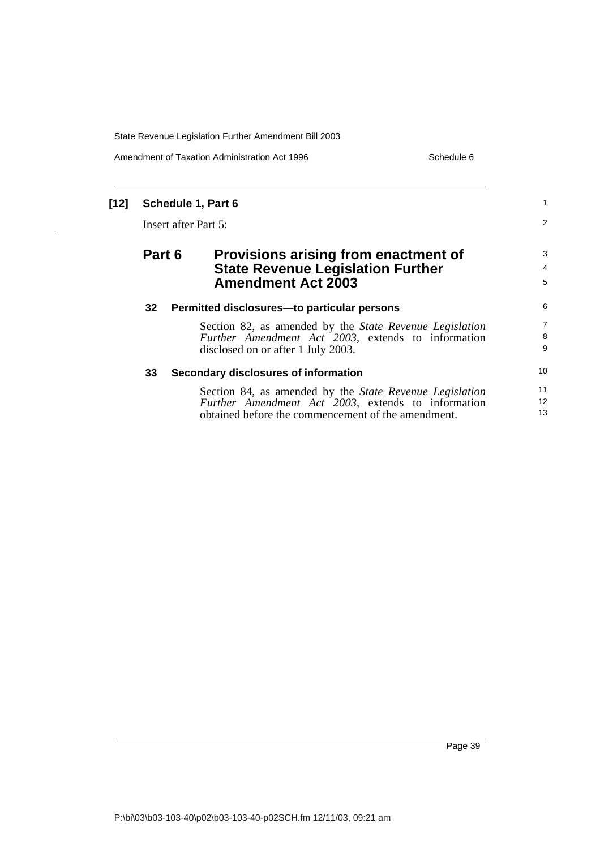Amendment of Taxation Administration Act 1996 Schedule 6

| [12] | Schedule 1, Part 6 |  |                                                                                                                                                                            |                          |
|------|--------------------|--|----------------------------------------------------------------------------------------------------------------------------------------------------------------------------|--------------------------|
|      |                    |  | Insert after Part 5:                                                                                                                                                       | 2                        |
|      | Part 6             |  | Provisions arising from enactment of<br><b>State Revenue Legislation Further</b><br><b>Amendment Act 2003</b>                                                              | 3<br>4<br>5              |
|      | 32                 |  | Permitted disclosures-to particular persons                                                                                                                                | 6                        |
|      |                    |  | Section 82, as amended by the <i>State Revenue Legislation</i><br>Further Amendment Act 2003, extends to information<br>disclosed on or after 1 July 2003.                 | $\overline{7}$<br>8<br>9 |
|      | 33                 |  | Secondary disclosures of information                                                                                                                                       | 10                       |
|      |                    |  | Section 84, as amended by the <i>State Revenue Legislation</i><br>Further Amendment Act 2003, extends to information<br>obtained before the commencement of the amendment. | 11<br>12<br>13           |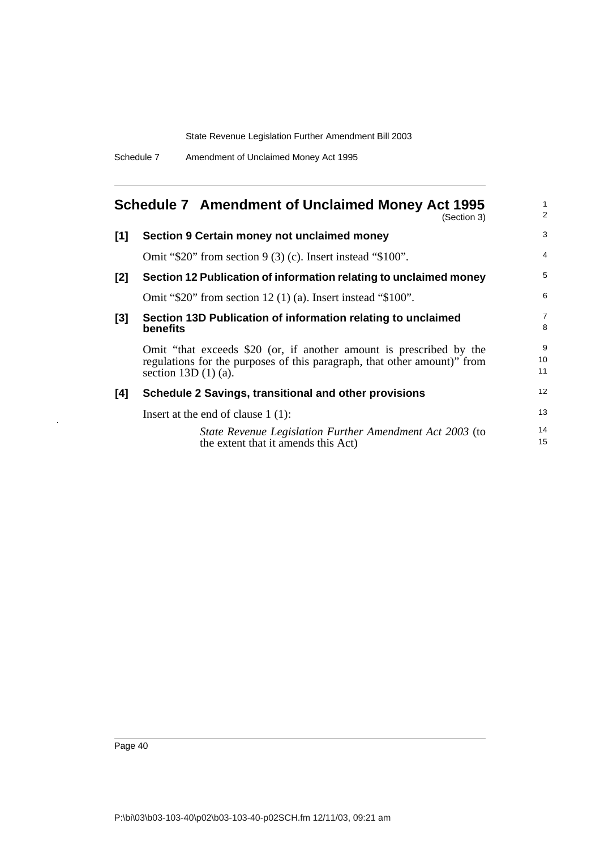<span id="page-51-0"></span>

|       | <b>Schedule 7 Amendment of Unclaimed Money Act 1995</b><br>(Section 3)                                                                                                   | $\mathbf{1}$<br>$\overline{2}$ |
|-------|--------------------------------------------------------------------------------------------------------------------------------------------------------------------------|--------------------------------|
| [1]   | Section 9 Certain money not unclaimed money                                                                                                                              | 3                              |
|       | Omit "\$20" from section $9(3)$ (c). Insert instead "\$100".                                                                                                             | $\overline{4}$                 |
| $[2]$ | Section 12 Publication of information relating to unclaimed money                                                                                                        | 5                              |
|       | Omit "\$20" from section $12(1)(a)$ . Insert instead "\$100".                                                                                                            | 6                              |
| $[3]$ | Section 13D Publication of information relating to unclaimed<br>benefits                                                                                                 | $\overline{7}$<br>8            |
|       | Omit "that exceeds \$20 (or, if another amount is prescribed by the<br>regulations for the purposes of this paragraph, that other amount)" from<br>section $13D(1)(a)$ . | 9<br>10<br>11                  |
| $[4]$ | Schedule 2 Savings, transitional and other provisions                                                                                                                    | 12                             |
|       | Insert at the end of clause $1(1)$ :                                                                                                                                     | 13                             |
|       | State Revenue Legislation Further Amendment Act 2003 (to<br>the extent that it amends this Act)                                                                          | 14<br>15                       |